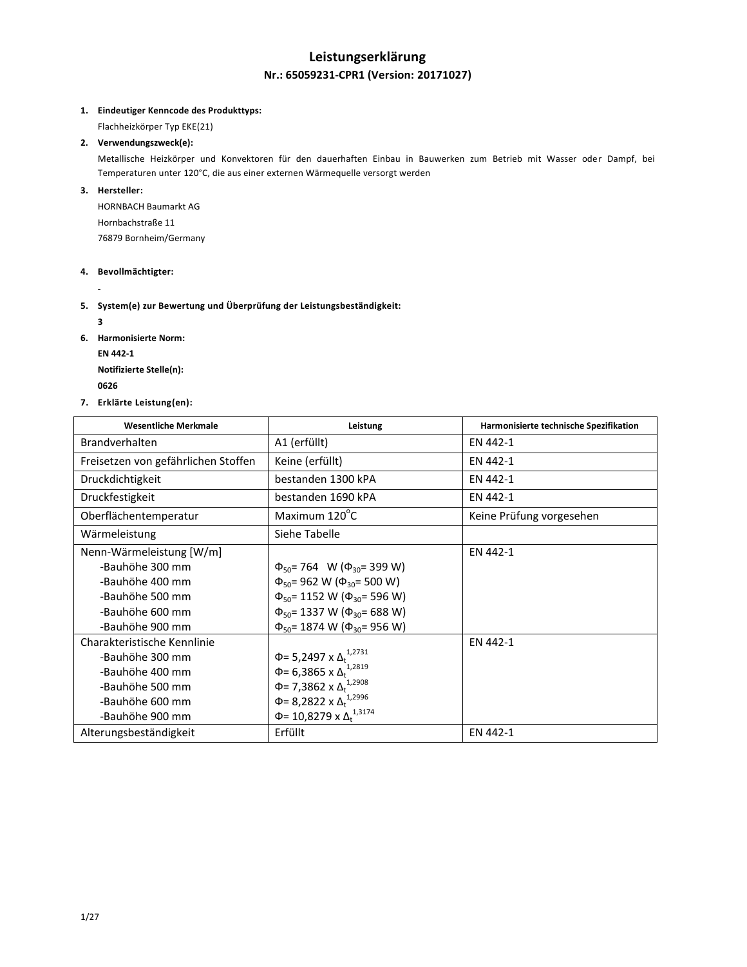## **Leistungserklärung Nr.: 65059231-CPR1 (Version: 20171027)**

## **1. Eindeutiger Kenncode des Produkttyps:**

Flachheizkörper Typ EKE(21)

## **2. Verwendungszweck(e):**

Metallische Heizkörper und Konvektoren für den dauerhaften Einbau in Bauwerken zum Betrieb mit Wasser oder Dampf, bei Temperaturen unter 120°C, die aus einer externen Wärmequelle versorgt werden

### **3. Hersteller:**

HORNBACH Baumarkt AG Hornbachstraße 11 76879 Bornheim/Germany

#### **4. Bevollmächtigter:**

**-**

## **5. System(e) zur Bewertung und Überprüfung der Leistungsbeständigkeit:**

**3**

- **6. Harmonisierte Norm:**
	- **EN 442-1**

**Notifizierte Stelle(n):**

- **<sup>0626</sup>**
- **7. Erklärte Leistung(en):**

| <b>Wesentliche Merkmale</b>         | Leistung                                    | Harmonisierte technische Spezifikation |
|-------------------------------------|---------------------------------------------|----------------------------------------|
| <b>Brandverhalten</b>               | A1 (erfüllt)                                | EN 442-1                               |
| Freisetzen von gefährlichen Stoffen | Keine (erfüllt)                             | EN 442-1                               |
| Druckdichtigkeit                    | bestanden 1300 kPA                          | EN 442-1                               |
| Druckfestigkeit                     | bestanden 1690 kPA                          | EN 442-1                               |
| Oberflächentemperatur               | Maximum 120°C                               | Keine Prüfung vorgesehen               |
| Wärmeleistung                       | Siehe Tabelle                               |                                        |
| Nenn-Wärmeleistung [W/m]            |                                             | EN 442-1                               |
| -Bauhöhe 300 mm                     | $\Phi_{50}$ = 764 W ( $\Phi_{30}$ = 399 W)  |                                        |
| -Bauhöhe 400 mm                     | $\Phi_{50}$ = 962 W ( $\Phi_{30}$ = 500 W)  |                                        |
| -Bauhöhe 500 mm                     | $\Phi_{50}$ = 1152 W ( $\Phi_{30}$ = 596 W) |                                        |
| -Bauhöhe 600 mm                     | $\Phi_{50}$ = 1337 W ( $\Phi_{30}$ = 688 W) |                                        |
| -Bauhöhe 900 mm                     | $\Phi_{50}$ = 1874 W ( $\Phi_{30}$ = 956 W) |                                        |
| Charakteristische Kennlinie         |                                             | EN 442-1                               |
| -Bauhöhe 300 mm                     | Φ= 5,2497 x Δ <sup>1,2731</sup>             |                                        |
| -Bauhöhe 400 mm                     | Φ= 6,3865 x $Δ_t$ <sup>1,2819</sup>         |                                        |
| -Bauhöhe 500 mm                     | Φ= 7,3862 x $Δ_t$ <sup>1,2908</sup>         |                                        |
| -Bauhöhe 600 mm                     | Φ= 8,2822 x $Δ_t^{1,2996}$                  |                                        |
| -Bauhöhe 900 mm                     | Φ= 10,8279 x Δ <sup>1,3174</sup>            |                                        |
| Alterungsbeständigkeit              | Erfüllt                                     | EN 442-1                               |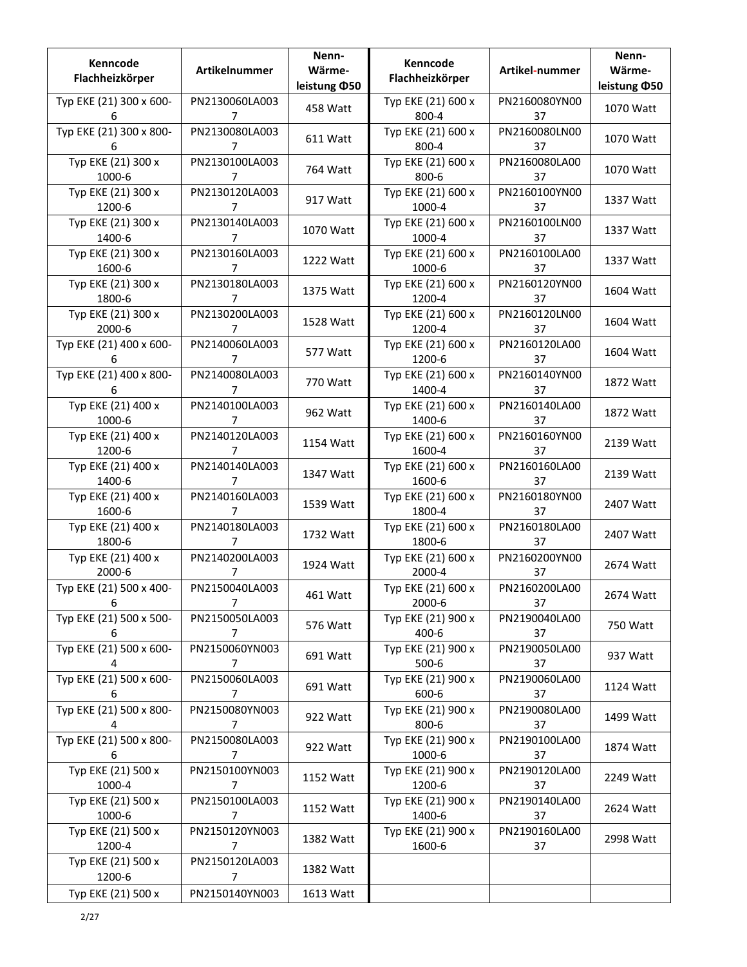| Kenncode<br>Flachheizkörper  | Artikelnummer                    | Nenn-<br>Wärme-<br>leistung ¢50 | Kenncode<br>Flachheizkörper   | Artikel-nummer      | Nenn-<br>Wärme-<br>leistung ¢50 |
|------------------------------|----------------------------------|---------------------------------|-------------------------------|---------------------|---------------------------------|
| Typ EKE (21) 300 x 600-<br>6 | PN2130060LA003<br>$\overline{7}$ | 458 Watt                        | Typ EKE (21) 600 x<br>800-4   | PN2160080YN00<br>37 | 1070 Watt                       |
| Typ EKE (21) 300 x 800-<br>6 | PN2130080LA003<br>7              | 611 Watt                        | Typ EKE (21) 600 x<br>800-4   | PN2160080LN00<br>37 | 1070 Watt                       |
| Typ EKE (21) 300 x<br>1000-6 | PN2130100LA003<br>7              | 764 Watt                        | Typ EKE (21) 600 x<br>800-6   | PN2160080LA00<br>37 | 1070 Watt                       |
| Typ EKE (21) 300 x<br>1200-6 | PN2130120LA003<br>7              | 917 Watt                        | Typ EKE (21) 600 x<br>1000-4  | PN2160100YN00<br>37 | 1337 Watt                       |
| Typ EKE (21) 300 x<br>1400-6 | PN2130140LA003<br>7              | 1070 Watt                       | Typ EKE (21) 600 x<br>1000-4  | PN2160100LN00<br>37 | 1337 Watt                       |
| Typ EKE (21) 300 x<br>1600-6 | PN2130160LA003<br>7              | 1222 Watt                       | Typ EKE (21) 600 x<br>1000-6  | PN2160100LA00<br>37 | 1337 Watt                       |
| Typ EKE (21) 300 x<br>1800-6 | PN2130180LA003<br>7              | 1375 Watt                       | Typ EKE (21) 600 x<br>1200-4  | PN2160120YN00<br>37 | 1604 Watt                       |
| Typ EKE (21) 300 x<br>2000-6 | PN2130200LA003<br>7              | 1528 Watt                       | Typ EKE (21) 600 x<br>1200-4  | PN2160120LN00<br>37 | 1604 Watt                       |
| Typ EKE (21) 400 x 600-<br>6 | PN2140060LA003<br>7              | 577 Watt                        | Typ EKE (21) 600 x<br>1200-6  | PN2160120LA00<br>37 | 1604 Watt                       |
| Typ EKE (21) 400 x 800-<br>6 | PN2140080LA003<br>7              | 770 Watt                        | Typ EKE (21) 600 x<br>1400-4  | PN2160140YN00<br>37 | 1872 Watt                       |
| Typ EKE (21) 400 x<br>1000-6 | PN2140100LA003<br>7              | 962 Watt                        | Typ EKE (21) 600 x<br>1400-6  | PN2160140LA00<br>37 | 1872 Watt                       |
| Typ EKE (21) 400 x<br>1200-6 | PN2140120LA003<br>7              | 1154 Watt                       | Typ EKE (21) 600 x<br>1600-4  | PN2160160YN00<br>37 | 2139 Watt                       |
| Typ EKE (21) 400 x<br>1400-6 | PN2140140LA003<br>7              | 1347 Watt                       | Typ EKE (21) 600 x<br>1600-6  | PN2160160LA00<br>37 | 2139 Watt                       |
| Typ EKE (21) 400 x<br>1600-6 | PN2140160LA003<br>7              | 1539 Watt                       | Typ EKE (21) 600 x<br>1800-4  | PN2160180YN00<br>37 | 2407 Watt                       |
| Typ EKE (21) 400 x<br>1800-6 | PN2140180LA003<br>7              | 1732 Watt                       | Typ EKE (21) 600 x<br>1800-6  | PN2160180LA00<br>37 | 2407 Watt                       |
| Typ EKE (21) 400 x<br>2000-6 | PN2140200LA003<br>7              | 1924 Watt                       | Typ EKE (21) 600 x<br>2000-4  | PN2160200YN00<br>37 | 2674 Watt                       |
| Typ EKE (21) 500 x 400-<br>6 | PN2150040LA003<br>7              | 461 Watt                        | Typ EKE (21) 600 x<br>2000-6  | PN2160200LA00<br>37 | 2674 Watt                       |
| Typ EKE (21) 500 x 500-<br>6 | PN2150050LA003<br>7              | 576 Watt                        | Typ EKE (21) 900 x<br>400-6   | PN2190040LA00<br>37 | 750 Watt                        |
| Typ EKE (21) 500 x 600-<br>4 | PN2150060YN003<br>$\overline{7}$ | 691 Watt                        | Typ EKE (21) 900 x<br>$500-6$ | PN2190050LA00<br>37 | 937 Watt                        |
| Typ EKE (21) 500 x 600-<br>6 | PN2150060LA003<br>$\overline{7}$ | 691 Watt                        | Typ EKE (21) 900 x<br>600-6   | PN2190060LA00<br>37 | 1124 Watt                       |
| Typ EKE (21) 500 x 800-<br>4 | PN2150080YN003<br>7              | 922 Watt                        | Typ EKE (21) 900 x<br>800-6   | PN2190080LA00<br>37 | 1499 Watt                       |
| Typ EKE (21) 500 x 800-<br>6 | PN2150080LA003<br>7              | 922 Watt                        | Typ EKE (21) 900 x<br>1000-6  | PN2190100LA00<br>37 | 1874 Watt                       |
| Typ EKE (21) 500 x<br>1000-4 | PN2150100YN003<br>7              | 1152 Watt                       | Typ EKE (21) 900 x<br>1200-6  | PN2190120LA00<br>37 | 2249 Watt                       |
| Typ EKE (21) 500 x<br>1000-6 | PN2150100LA003<br>7              | 1152 Watt                       | Typ EKE (21) 900 x<br>1400-6  | PN2190140LA00<br>37 | 2624 Watt                       |
| Typ EKE (21) 500 x<br>1200-4 | PN2150120YN003<br>$\overline{7}$ | 1382 Watt                       | Typ EKE (21) 900 x<br>1600-6  | PN2190160LA00<br>37 | 2998 Watt                       |
| Typ EKE (21) 500 x<br>1200-6 | PN2150120LA003<br>$\overline{7}$ | 1382 Watt                       |                               |                     |                                 |
| Typ EKE (21) 500 x           | PN2150140YN003                   | 1613 Watt                       |                               |                     |                                 |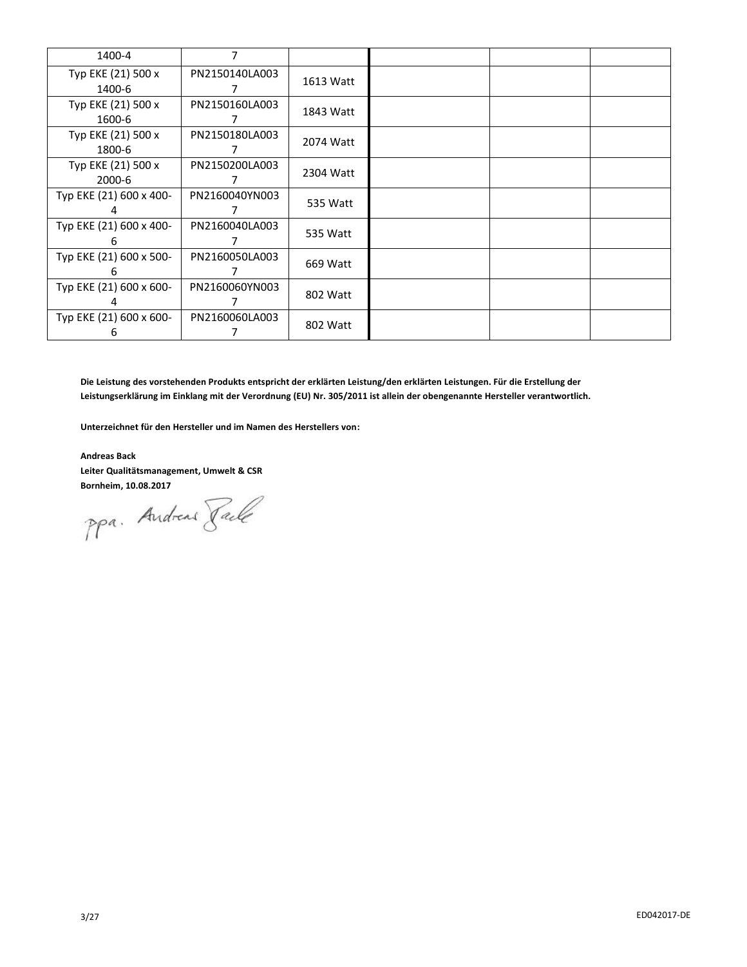| 1400-4                       | 7                   |           |  |  |
|------------------------------|---------------------|-----------|--|--|
| Typ EKE (21) 500 x<br>1400-6 | PN2150140LA003<br>7 | 1613 Watt |  |  |
| Typ EKE (21) 500 x<br>1600-6 | PN2150160LA003      | 1843 Watt |  |  |
| Typ EKE (21) 500 x<br>1800-6 | PN2150180LA003      | 2074 Watt |  |  |
| Typ EKE (21) 500 x<br>2000-6 | PN2150200LA003      | 2304 Watt |  |  |
| Typ EKE (21) 600 x 400-      | PN2160040YN003      | 535 Watt  |  |  |
| Typ EKE (21) 600 x 400-<br>h | PN2160040LA003      | 535 Watt  |  |  |
| Typ EKE (21) 600 x 500-<br>h | PN2160050LA003      | 669 Watt  |  |  |
| Typ EKE (21) 600 x 600-      | PN2160060YN003      | 802 Watt  |  |  |
| Typ EKE (21) 600 x 600-<br>6 | PN2160060LA003      | 802 Watt  |  |  |

**Die Leistung des vorstehenden Produkts entspricht der erklärten Leistung/den erklärten Leistungen. Für die Erstellung der Leistungserklärung im Einklang mit der Verordnung (EU) Nr. 305/2011 ist allein der obengenannte Hersteller verantwortlich.**

**Unterzeichnet für den Hersteller und im Namen des Herstellers von:**

**Andreas Back Leiter Qualitätsmanagement, Umwelt & CSR**

**Bornheim, 10.08.2017**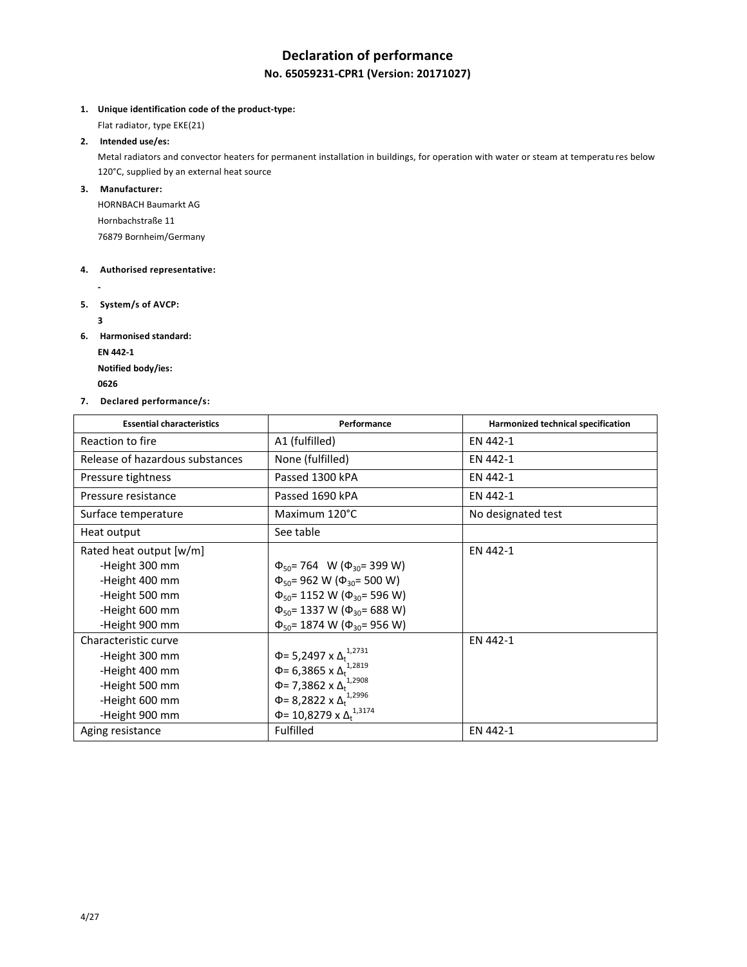# **Declaration of performance**

## **No. 65059231-CPR1 (Version: 20171027)**

**1. Unique identification code of the product-type:**

Flat radiator, type EKE(21)

## **2. Intended use/es:**

Metal radiators and convector heaters for permanent installation in buildings, for operation with water or steam at temperatu res below 120°C, supplied by an external heat source

## **3. Manufacturer:**

HORNBACH Baumarkt AG Hornbachstraße 11 76879 Bornheim/Germany

## **4. Authorised representative:**

**5. System/s of AVCP:**

**3**

**-**

**6. Harmonised standard: EN 442-1**

**Notified body/ies:**

**<sup>0626</sup>** 

**7. Declared performance/s:**

| <b>Essential characteristics</b> | Performance                                   | Harmonized technical specification |
|----------------------------------|-----------------------------------------------|------------------------------------|
| Reaction to fire                 | A1 (fulfilled)                                | EN 442-1                           |
| Release of hazardous substances  | None (fulfilled)                              | EN 442-1                           |
| Pressure tightness               | Passed 1300 kPA                               | EN 442-1                           |
| Pressure resistance              | Passed 1690 kPA                               | EN 442-1                           |
| Surface temperature              | Maximum 120°C                                 | No designated test                 |
| Heat output                      | See table                                     |                                    |
| Rated heat output [w/m]          |                                               | EN 442-1                           |
| -Height 300 mm                   | $\Phi_{50}$ = 764 W ( $\Phi_{30}$ = 399 W)    |                                    |
| -Height 400 mm                   | $\Phi_{50}$ = 962 W ( $\Phi_{30}$ = 500 W)    |                                    |
| -Height 500 mm                   | $\Phi_{50}$ = 1152 W ( $\Phi_{30}$ = 596 W)   |                                    |
| -Height 600 mm                   | $\Phi_{50}$ = 1337 W ( $\Phi_{30}$ = 688 W)   |                                    |
| -Height 900 mm                   | $\Phi_{50}$ = 1874 W ( $\Phi_{30}$ = 956 W)   |                                    |
| Characteristic curve             |                                               | EN 442-1                           |
| -Height 300 mm                   | Φ= 5,2497 x Δ <sub>t</sub> <sup>1,2731</sup>  |                                    |
| -Height 400 mm                   | Φ= 6,3865 x $Δ_t$ <sup>1,2819</sup>           |                                    |
| -Height 500 mm                   | Φ= 7,3862 x Δ <sup>1,2908</sup>               |                                    |
| -Height 600 mm                   | Φ= 8,2822 x $Δ_t$ <sup>1,2996</sup>           |                                    |
| -Height 900 mm                   | Φ= 10,8279 x Δ <sub>t</sub> <sup>1,3174</sup> |                                    |
| Aging resistance                 | Fulfilled                                     | EN 442-1                           |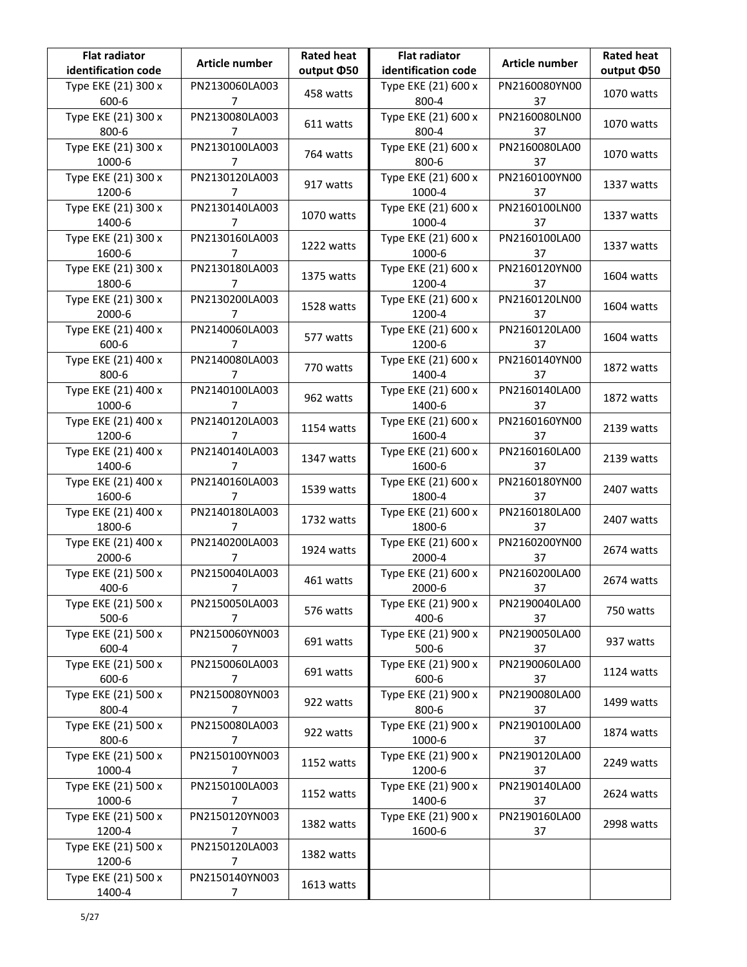| <b>Flat radiator</b><br>identification code | Article number                   | <b>Rated heat</b><br>output ¢50 | <b>Flat radiator</b><br>identification code | Article number      | <b>Rated heat</b><br>output ¢50 |
|---------------------------------------------|----------------------------------|---------------------------------|---------------------------------------------|---------------------|---------------------------------|
| Type EKE (21) 300 x<br>600-6                | PN2130060LA003<br>7              | 458 watts                       | Type EKE (21) 600 x<br>800-4                | PN2160080YN00<br>37 | 1070 watts                      |
| Type EKE (21) 300 x<br>800-6                | PN2130080LA003<br>7              | 611 watts                       | Type EKE (21) 600 x<br>800-4                | PN2160080LN00<br>37 | 1070 watts                      |
| Type EKE (21) 300 x<br>1000-6               | PN2130100LA003<br>7              | 764 watts                       | Type EKE (21) 600 x<br>800-6                | PN2160080LA00<br>37 | 1070 watts                      |
| Type EKE (21) 300 x<br>1200-6               | PN2130120LA003<br>7              | 917 watts                       | Type EKE (21) 600 x<br>1000-4               | PN2160100YN00<br>37 | 1337 watts                      |
| Type EKE (21) 300 x<br>1400-6               | PN2130140LA003<br>7              | 1070 watts                      | Type EKE (21) 600 x<br>1000-4               | PN2160100LN00<br>37 | 1337 watts                      |
| Type EKE (21) 300 x<br>1600-6               | PN2130160LA003<br>7              | 1222 watts                      | Type EKE (21) 600 x<br>1000-6               | PN2160100LA00<br>37 | 1337 watts                      |
| Type EKE (21) 300 x<br>1800-6               | PN2130180LA003<br>7              | 1375 watts                      | Type EKE (21) 600 x<br>1200-4               | PN2160120YN00<br>37 | 1604 watts                      |
| Type EKE (21) 300 x<br>2000-6               | PN2130200LA003<br>7              | 1528 watts                      | Type EKE (21) 600 x<br>1200-4               | PN2160120LN00<br>37 | 1604 watts                      |
| Type EKE (21) 400 x<br>600-6                | PN2140060LA003<br>7              | 577 watts                       | Type EKE (21) 600 x<br>1200-6               | PN2160120LA00<br>37 | 1604 watts                      |
| Type EKE (21) 400 x<br>800-6                | PN2140080LA003<br>7              | 770 watts                       | Type EKE (21) 600 x<br>1400-4               | PN2160140YN00<br>37 | 1872 watts                      |
| Type EKE (21) 400 x<br>1000-6               | PN2140100LA003<br>7              | 962 watts                       | Type EKE (21) 600 x<br>1400-6               | PN2160140LA00<br>37 | 1872 watts                      |
| Type EKE (21) 400 x<br>1200-6               | PN2140120LA003<br>7              | 1154 watts                      | Type EKE (21) 600 x<br>1600-4               | PN2160160YN00<br>37 | 2139 watts                      |
| Type EKE (21) 400 x<br>1400-6               | PN2140140LA003<br>7              | 1347 watts                      | Type EKE (21) 600 x<br>1600-6               | PN2160160LA00<br>37 | 2139 watts                      |
| Type EKE (21) 400 x<br>1600-6               | PN2140160LA003<br>7              | 1539 watts                      | Type EKE (21) 600 x<br>1800-4               | PN2160180YN00<br>37 | 2407 watts                      |
| Type EKE (21) 400 x<br>1800-6               | PN2140180LA003<br>7              | 1732 watts                      | Type EKE (21) 600 x<br>1800-6               | PN2160180LA00<br>37 | 2407 watts                      |
| Type EKE (21) 400 x<br>2000-6               | PN2140200LA003<br>7              | 1924 watts                      | Type EKE (21) 600 x<br>2000-4               | PN2160200YN00<br>37 | 2674 watts                      |
| Type EKE (21) 500 x<br>400-6                | PN2150040LA003<br>$\overline{7}$ | 461 watts                       | Type EKE (21) 600 x<br>2000-6               | PN2160200LA00<br>37 | 2674 watts                      |
| Type EKE (21) 500 x<br>$500-6$              | PN2150050LA003<br>7              | 576 watts                       | Type EKE (21) 900 x<br>400-6                | PN2190040LA00<br>37 | 750 watts                       |
| Type EKE (21) 500 x<br>600-4                | PN2150060YN003<br>$\overline{7}$ | 691 watts                       | Type EKE (21) 900 x<br>$500-6$              | PN2190050LA00<br>37 | 937 watts                       |
| Type EKE (21) 500 x<br>600-6                | PN2150060LA003<br>7              | 691 watts                       | Type EKE (21) 900 x<br>600-6                | PN2190060LA00<br>37 | 1124 watts                      |
| Type EKE (21) 500 x<br>800-4                | PN2150080YN003<br>7              | 922 watts                       | Type EKE (21) 900 x<br>800-6                | PN2190080LA00<br>37 | 1499 watts                      |
| Type EKE (21) 500 x<br>800-6                | PN2150080LA003<br>7              | 922 watts                       | Type EKE (21) 900 x<br>1000-6               | PN2190100LA00<br>37 | 1874 watts                      |
| Type EKE (21) 500 x<br>1000-4               | PN2150100YN003<br>7              | 1152 watts                      | Type EKE (21) 900 x<br>1200-6               | PN2190120LA00<br>37 | 2249 watts                      |
| Type EKE (21) 500 x<br>1000-6               | PN2150100LA003<br>7              | 1152 watts                      | Type EKE (21) 900 x<br>1400-6               | PN2190140LA00<br>37 | 2624 watts                      |
| Type EKE (21) 500 x<br>1200-4               | PN2150120YN003<br>7              | 1382 watts                      | Type EKE (21) 900 x<br>1600-6               | PN2190160LA00<br>37 | 2998 watts                      |
| Type EKE (21) 500 x<br>1200-6               | PN2150120LA003<br>$\overline{7}$ | 1382 watts                      |                                             |                     |                                 |
| Type EKE (21) 500 x<br>1400-4               | PN2150140YN003<br>7              | 1613 watts                      |                                             |                     |                                 |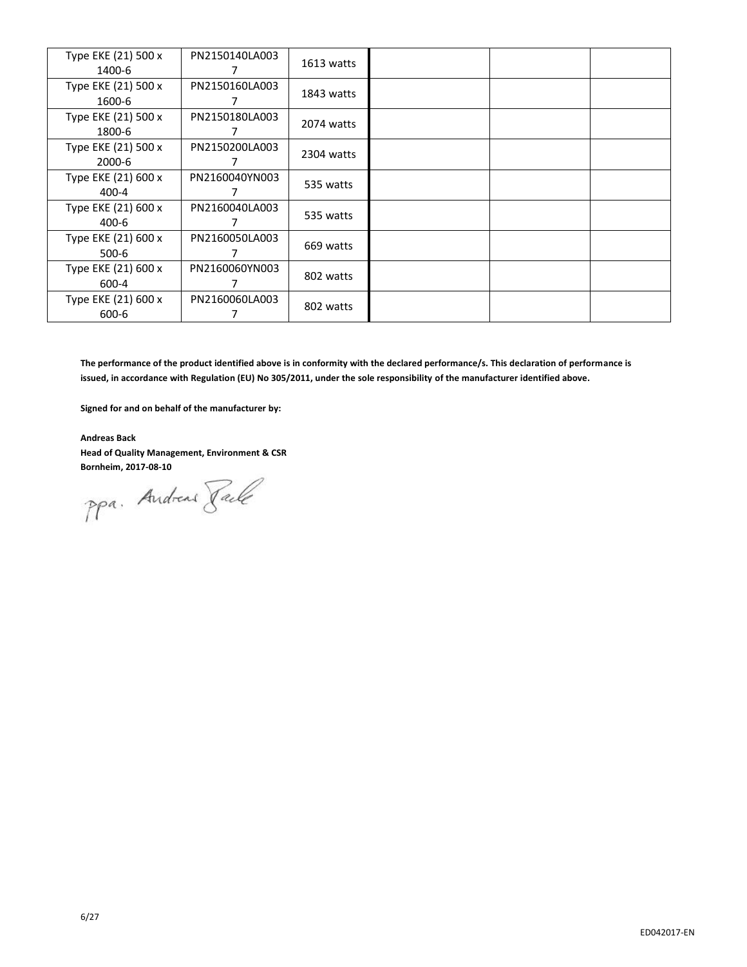| Type EKE (21) 500 x<br>1400-6 | PN2150140LA003 | 1613 watts |  |  |
|-------------------------------|----------------|------------|--|--|
| Type EKE (21) 500 x<br>1600-6 | PN2150160LA003 | 1843 watts |  |  |
| Type EKE (21) 500 x<br>1800-6 | PN2150180LA003 | 2074 watts |  |  |
| Type EKE (21) 500 x<br>2000-6 | PN2150200LA003 | 2304 watts |  |  |
| Type EKE (21) 600 x<br>400-4  | PN2160040YN003 | 535 watts  |  |  |
| Type EKE (21) 600 x<br>400-6  | PN2160040LA003 | 535 watts  |  |  |
| Type EKE (21) 600 x<br>500-6  | PN2160050LA003 | 669 watts  |  |  |
| Type EKE (21) 600 x<br>600-4  | PN2160060YN003 | 802 watts  |  |  |
| Type EKE (21) 600 x<br>600-6  | PN2160060LA003 | 802 watts  |  |  |

**The performance of the product identified above is in conformity with the declared performance/s. This declaration of performance is issued, in accordance with Regulation (EU) No 305/2011, under the sole responsibility of the manufacturer identified above.**

**Signed for and on behalf of the manufacturer by:**

**Andreas Back Head of Quality Management, Environment & CSR**

**Bornheim, 2017-08-10**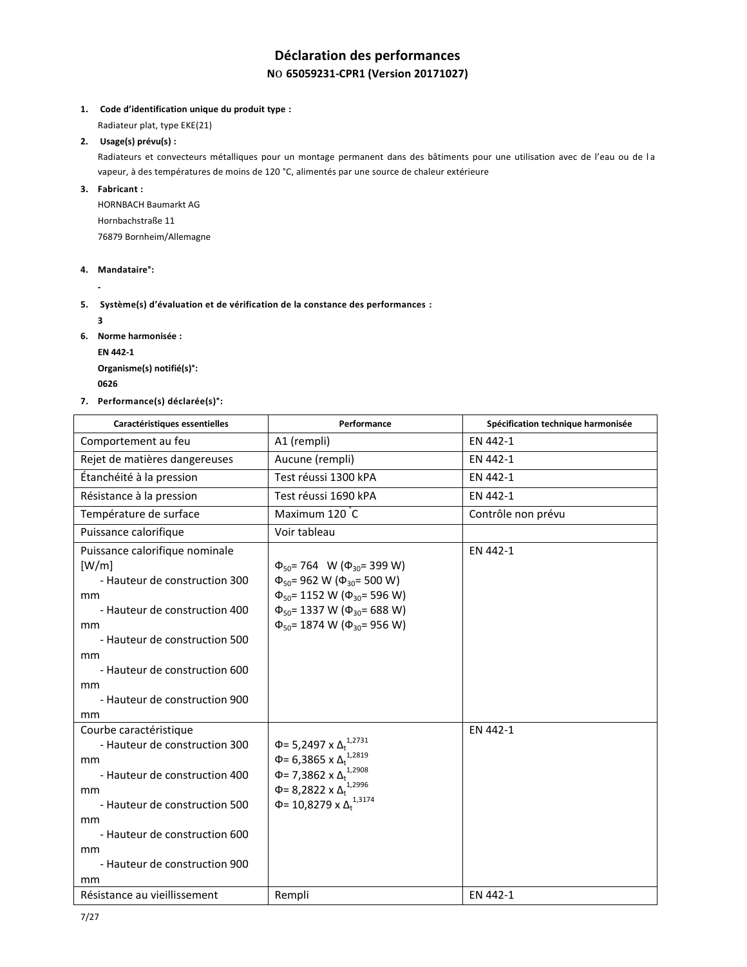## **Déclaration des performances N**o **65059231-CPR1 (Version 20171027)**

## **1. Code d'identification unique du produit type :**

Radiateur plat, type EKE(21)

## **2. Usage(s) prévu(s) :**

Radiateurs et convecteurs métalliques pour un montage permanent dans des bâtiments pour une utilisation avec de l'eau ou de l a vapeur, à des températures de moins de 120 °C, alimentés par une source de chaleur extérieure

**3. Fabricant :**

HORNBACH Baumarkt AG Hornbachstraße 11 76879 Bornheim/Allemagne

#### **4. Mandataire°:**

**-**

## **5. Système(s) d'évaluation et de vérification de la constance des performances :**

**3**

- **6. Norme harmonisée :**
	- **EN 442-1**

**Organisme(s) notifié(s)°: <sup>0626</sup>** 

**7. Performance(s) déclarée(s)°:**

| Caractéristiques essentielles                                                                                                                                                                                                              | Performance                                                                                                                                                                                                                           | Spécification technique harmonisée |
|--------------------------------------------------------------------------------------------------------------------------------------------------------------------------------------------------------------------------------------------|---------------------------------------------------------------------------------------------------------------------------------------------------------------------------------------------------------------------------------------|------------------------------------|
| Comportement au feu                                                                                                                                                                                                                        | A1 (rempli)                                                                                                                                                                                                                           | EN 442-1                           |
| Rejet de matières dangereuses                                                                                                                                                                                                              | Aucune (rempli)                                                                                                                                                                                                                       | EN 442-1                           |
| Étanchéité à la pression                                                                                                                                                                                                                   | Test réussi 1300 kPA                                                                                                                                                                                                                  | EN 442-1                           |
| Résistance à la pression                                                                                                                                                                                                                   | Test réussi 1690 kPA                                                                                                                                                                                                                  | EN 442-1                           |
| Température de surface                                                                                                                                                                                                                     | Maximum 120 C                                                                                                                                                                                                                         | Contrôle non prévu                 |
| Puissance calorifique                                                                                                                                                                                                                      | Voir tableau                                                                                                                                                                                                                          |                                    |
| Puissance calorifique nominale<br>[W/m]<br>- Hauteur de construction 300<br>mm<br>- Hauteur de construction 400<br>mm<br>- Hauteur de construction 500<br>mm<br>- Hauteur de construction 600<br>mm<br>- Hauteur de construction 900<br>mm | $\Phi_{50}$ = 764 W ( $\Phi_{30}$ = 399 W)<br>$\Phi_{50}$ = 962 W ( $\Phi_{30}$ = 500 W)<br>$\Phi_{50}$ = 1152 W ( $\Phi_{30}$ = 596 W)<br>$\Phi_{50}$ = 1337 W ( $\Phi_{30}$ = 688 W)<br>$\Phi_{50}$ = 1874 W ( $\Phi_{30}$ = 956 W) | EN 442-1                           |
| Courbe caractéristique<br>- Hauteur de construction 300<br>mm<br>- Hauteur de construction 400<br>mm<br>- Hauteur de construction 500<br>mm<br>- Hauteur de construction 600<br>mm<br>- Hauteur de construction 900<br>mm                  | 1,2731<br>$Φ = 5,2497$ x Δ <sub>t</sub><br>Φ= 6,3865 x $Δ_t^{1,2819}$<br>Φ= 7,3862 x $Δ_t$ <sup>1,2908</sup><br>$\Phi$ = 8,2822 x $\Delta_t^{1,2996}$<br>Φ= 10,8279 x $Δ_t$ <sup>1,3174</sup>                                         | EN 442-1                           |
| Résistance au vieillissement                                                                                                                                                                                                               | Rempli                                                                                                                                                                                                                                | EN 442-1                           |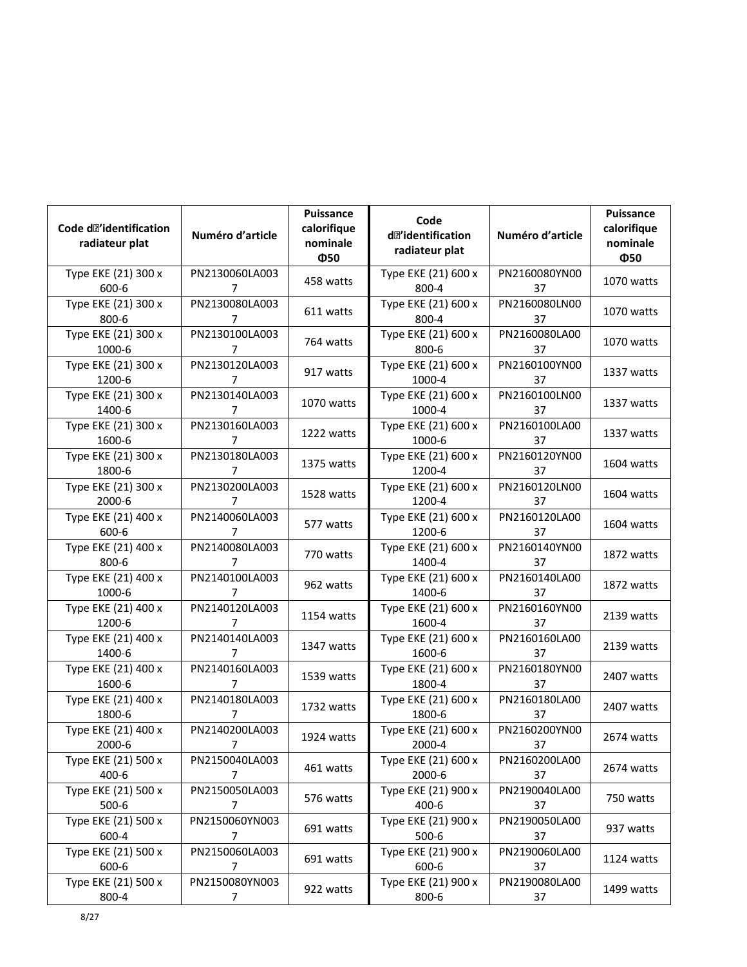| Code d <sup>2</sup> identification<br>radiateur plat | Numéro d'article                 | Puissance<br>calorifique<br>nominale | Code<br>d <sup>2</sup> 'identification<br>radiateur plat | Numéro d'article    | Puissance<br>calorifique<br>nominale |
|------------------------------------------------------|----------------------------------|--------------------------------------|----------------------------------------------------------|---------------------|--------------------------------------|
| Type EKE (21) 300 x<br>600-6                         | PN2130060LA003<br>7              | Ф50<br>458 watts                     | Type EKE (21) 600 x<br>800-4                             | PN2160080YN00<br>37 | Ф50<br>1070 watts                    |
| Type EKE (21) 300 x<br>800-6                         | PN2130080LA003<br>7              | 611 watts                            | Type EKE (21) 600 x<br>800-4                             | PN2160080LN00<br>37 | 1070 watts                           |
| Type EKE (21) 300 x<br>1000-6                        | PN2130100LA003<br>7              | 764 watts                            | Type EKE (21) 600 x<br>800-6                             | PN2160080LA00<br>37 | 1070 watts                           |
| Type EKE (21) 300 x<br>1200-6                        | PN2130120LA003<br>7              | 917 watts                            | Type EKE (21) 600 x<br>1000-4                            | PN2160100YN00<br>37 | 1337 watts                           |
| Type EKE (21) 300 x<br>1400-6                        | PN2130140LA003<br>7              | 1070 watts                           | Type EKE (21) 600 x<br>1000-4                            | PN2160100LN00<br>37 | 1337 watts                           |
| Type EKE (21) 300 x<br>1600-6                        | PN2130160LA003<br>7              | 1222 watts                           | Type EKE (21) 600 x<br>1000-6                            | PN2160100LA00<br>37 | 1337 watts                           |
| Type EKE (21) 300 x<br>1800-6                        | PN2130180LA003<br>7              | 1375 watts                           | Type EKE (21) 600 x<br>1200-4                            | PN2160120YN00<br>37 | 1604 watts                           |
| Type EKE (21) 300 x<br>2000-6                        | PN2130200LA003<br>7              | 1528 watts                           | Type EKE (21) 600 x<br>1200-4                            | PN2160120LN00<br>37 | 1604 watts                           |
| Type EKE (21) 400 x<br>600-6                         | PN2140060LA003<br>7              | 577 watts                            | Type EKE (21) 600 x<br>1200-6                            | PN2160120LA00<br>37 | 1604 watts                           |
| Type EKE (21) 400 x<br>800-6                         | PN2140080LA003<br>7              | 770 watts                            | Type EKE (21) 600 x<br>1400-4                            | PN2160140YN00<br>37 | 1872 watts                           |
| Type EKE (21) 400 x<br>1000-6                        | PN2140100LA003<br>7              | 962 watts                            | Type EKE (21) 600 x<br>1400-6                            | PN2160140LA00<br>37 | 1872 watts                           |
| Type EKE (21) 400 x<br>1200-6                        | PN2140120LA003<br>7              | 1154 watts                           | Type EKE (21) 600 x<br>1600-4                            | PN2160160YN00<br>37 | 2139 watts                           |
| Type EKE (21) 400 x<br>1400-6                        | PN2140140LA003<br>7              | 1347 watts                           | Type EKE (21) 600 x<br>1600-6                            | PN2160160LA00<br>37 | 2139 watts                           |
| Type EKE (21) 400 x<br>1600-6                        | PN2140160LA003<br>7              | 1539 watts                           | Type EKE (21) 600 x<br>1800-4                            | PN2160180YN00<br>37 | 2407 watts                           |
| Type EKE (21) 400 x<br>1800-6                        | PN2140180LA003<br>7              | 1732 watts                           | Type EKE (21) 600 x<br>1800-6                            | PN2160180LA00<br>37 | 2407 watts                           |
| Type EKE (21) 400 x<br>2000-6                        | PN2140200LA003<br>7              | 1924 watts                           | Type EKE (21) 600 x<br>2000-4                            | PN2160200YN00<br>37 | 2674 watts                           |
| Type EKE (21) 500 x<br>400-6                         | PN2150040LA003<br>7              | 461 watts                            | Type EKE (21) 600 x<br>2000-6                            | PN2160200LA00<br>37 | 2674 watts                           |
| Type EKE (21) 500 x<br>500-6                         | PN2150050LA003<br>$\overline{7}$ | 576 watts                            | Type EKE (21) 900 x<br>400-6                             | PN2190040LA00<br>37 | 750 watts                            |
| Type EKE (21) 500 x<br>600-4                         | PN2150060YN003<br>$\overline{7}$ | 691 watts                            | Type EKE (21) 900 x<br>$500-6$                           | PN2190050LA00<br>37 | 937 watts                            |
| Type EKE (21) 500 x<br>600-6                         | PN2150060LA003<br>7              | 691 watts                            | Type EKE (21) 900 x<br>600-6                             | PN2190060LA00<br>37 | 1124 watts                           |
| Type EKE (21) 500 x<br>800-4                         | PN2150080YN003<br>7              | 922 watts                            | Type EKE (21) 900 x<br>800-6                             | PN2190080LA00<br>37 | 1499 watts                           |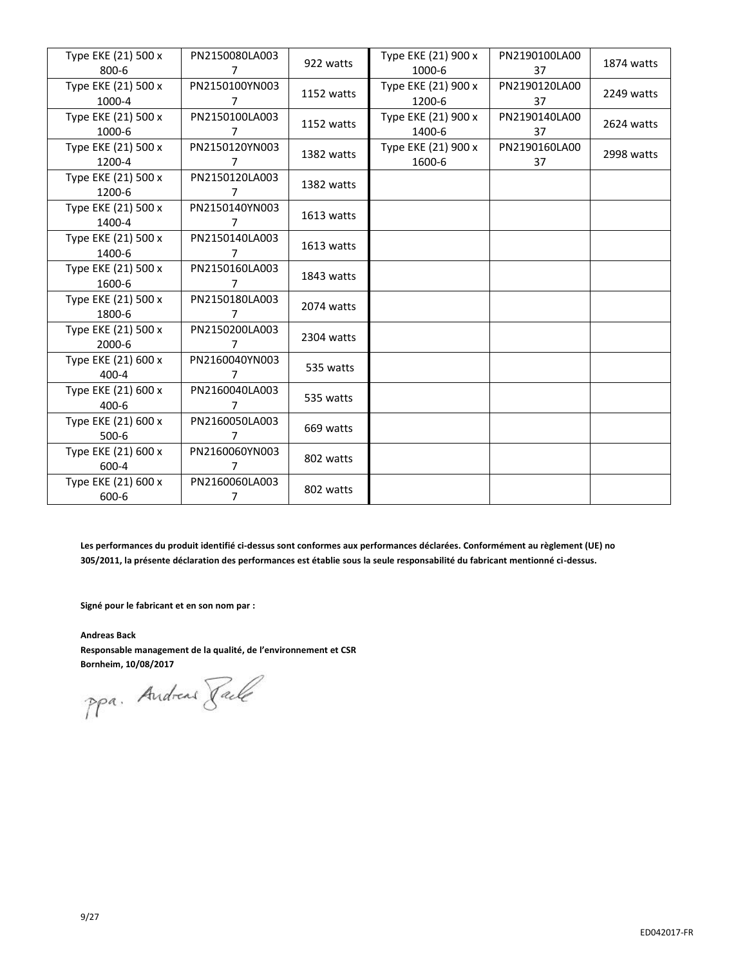| Type EKE (21) 500 x | PN2150080LA003 | 922 watts  | Type EKE (21) 900 x | PN2190100LA00 | 1874 watts |
|---------------------|----------------|------------|---------------------|---------------|------------|
| $800 - 6$           | 7              |            | 1000-6              | 37            |            |
| Type EKE (21) 500 x | PN2150100YN003 | 1152 watts | Type EKE (21) 900 x | PN2190120LA00 | 2249 watts |
| 1000-4              | 7              |            | 1200-6              | 37            |            |
| Type EKE (21) 500 x | PN2150100LA003 | 1152 watts | Type EKE (21) 900 x | PN2190140LA00 | 2624 watts |
| 1000-6              | 7              |            | 1400-6              | 37            |            |
| Type EKE (21) 500 x | PN2150120YN003 | 1382 watts | Type EKE (21) 900 x | PN2190160LA00 | 2998 watts |
| 1200-4              | 7              |            | 1600-6              | 37            |            |
| Type EKE (21) 500 x | PN2150120LA003 | 1382 watts |                     |               |            |
| 1200-6              | 7              |            |                     |               |            |
| Type EKE (21) 500 x | PN2150140YN003 |            |                     |               |            |
| 1400-4              | 7              | 1613 watts |                     |               |            |
| Type EKE (21) 500 x | PN2150140LA003 |            |                     |               |            |
| 1400-6              | 7              | 1613 watts |                     |               |            |
| Type EKE (21) 500 x | PN2150160LA003 |            |                     |               |            |
| 1600-6              | 7              | 1843 watts |                     |               |            |
| Type EKE (21) 500 x | PN2150180LA003 |            |                     |               |            |
| 1800-6              | 7              | 2074 watts |                     |               |            |
| Type EKE (21) 500 x | PN2150200LA003 | 2304 watts |                     |               |            |
| 2000-6              | 7              |            |                     |               |            |
| Type EKE (21) 600 x | PN2160040YN003 |            |                     |               |            |
| $400 - 4$           | 7              | 535 watts  |                     |               |            |
| Type EKE (21) 600 x | PN2160040LA003 |            |                     |               |            |
| $400 - 6$           | 7              | 535 watts  |                     |               |            |
| Type EKE (21) 600 x | PN2160050LA003 |            |                     |               |            |
| $500-6$             | 7              | 669 watts  |                     |               |            |
| Type EKE (21) 600 x | PN2160060YN003 |            |                     |               |            |
| 600-4               | 7              | 802 watts  |                     |               |            |
| Type EKE (21) 600 x | PN2160060LA003 |            |                     |               |            |
| 600-6               | 7              | 802 watts  |                     |               |            |

**Les performances du produit identifié ci-dessus sont conformes aux performances déclarées. Conformément au règlement (UE) no 305/2011, la présente déclaration des performances est établie sous la seule responsabilité du fabricant mentionné ci-dessus.**

**Signé pour le fabricant et en son nom par :**

**Andreas Back Responsable management de la qualité, de l'environnement et CSR**

**Bornheim, 10/08/2017**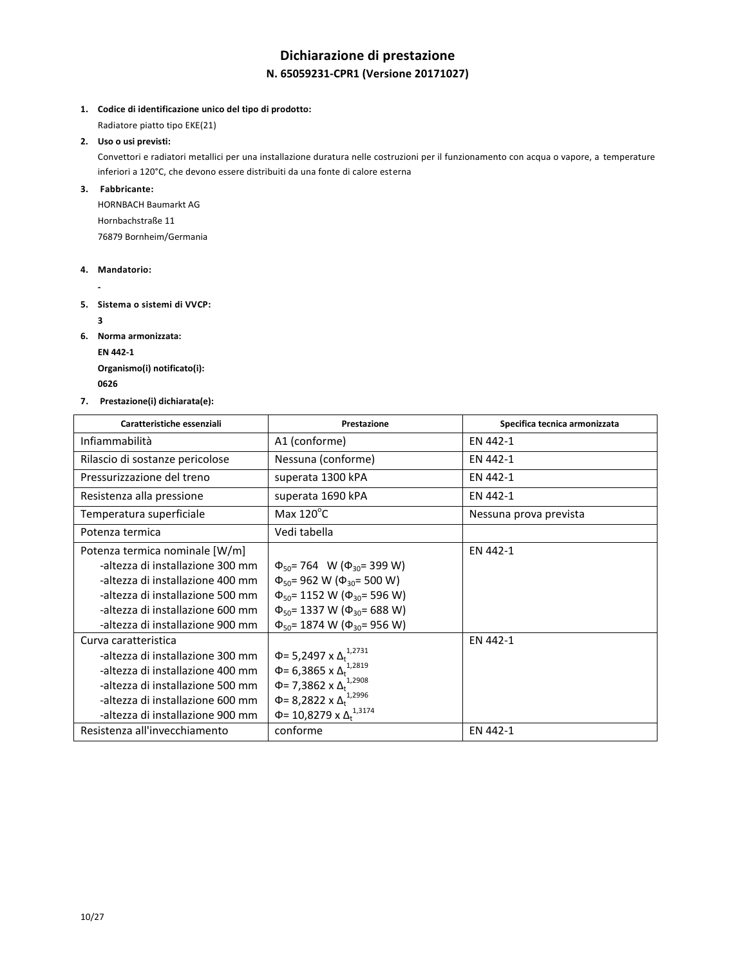# **Dichiarazione di prestazione N. 65059231-CPR1 (Versione 20171027)**

**1. Codice di identificazione unico del tipo di prodotto:**

Radiatore piatto tipo EKE(21)

**2. Uso o usi previsti:**

Convettori e radiatori metallici per una installazione duratura nelle costruzioni per il funzionamento con acqua o vapore, a temperature inferiori a 120°C, che devono essere distribuiti da una fonte di calore esterna

**3. Fabbricante:**

HORNBACH Baumarkt AG Hornbachstraße 11 76879 Bornheim/Germania

- **4. Mandatorio:**
	- **-**
- **5. Sistema o sistemi di VVCP:** 
	- **3**
- **6. Norma armonizzata: EN 442-1**

**Organismo(i) notificato(i): <sup>0626</sup>** 

**7. Prestazione(i) dichiarata(e):**

| Caratteristiche essenziali       | Prestazione                                    | Specifica tecnica armonizzata |
|----------------------------------|------------------------------------------------|-------------------------------|
| Infiammabilità                   | A1 (conforme)                                  | EN 442-1                      |
| Rilascio di sostanze pericolose  | Nessuna (conforme)                             | EN 442-1                      |
| Pressurizzazione del treno       | superata 1300 kPA                              | EN 442-1                      |
| Resistenza alla pressione        | superata 1690 kPA                              | EN 442-1                      |
| Temperatura superficiale         | Max $120^{\circ}$ C                            | Nessuna prova prevista        |
| Potenza termica                  | Vedi tabella                                   |                               |
| Potenza termica nominale [W/m]   |                                                | EN 442-1                      |
| -altezza di installazione 300 mm | $\Phi_{50}$ = 764 W ( $\Phi_{30}$ = 399 W)     |                               |
| -altezza di installazione 400 mm | $\Phi_{50}$ = 962 W ( $\Phi_{30}$ = 500 W)     |                               |
| -altezza di installazione 500 mm | $\Phi_{50}$ = 1152 W ( $\Phi_{30}$ = 596 W)    |                               |
| -altezza di installazione 600 mm | $\Phi_{50}$ = 1337 W ( $\Phi_{30}$ = 688 W)    |                               |
| -altezza di installazione 900 mm | $\Phi_{50}$ = 1874 W ( $\Phi_{30}$ = 956 W)    |                               |
| Curva caratteristica             |                                                | EN 442-1                      |
| -altezza di installazione 300 mm | $\Phi$ = 5,2497 x $\Delta_t$ <sup>1,2731</sup> |                               |
| -altezza di installazione 400 mm | Φ= 6,3865 x $Δ_t$ <sup>1,2819</sup>            |                               |
| -altezza di installazione 500 mm | Φ= 7,3862 x Δ <sup>1,2908</sup>                |                               |
| -altezza di installazione 600 mm | Φ= 8,2822 x $Δ_t^{1,2996}$                     |                               |
| -altezza di installazione 900 mm | Φ= 10,8279 x $Δ_t$ <sup>1,3174</sup>           |                               |
| Resistenza all'invecchiamento    | conforme                                       | EN 442-1                      |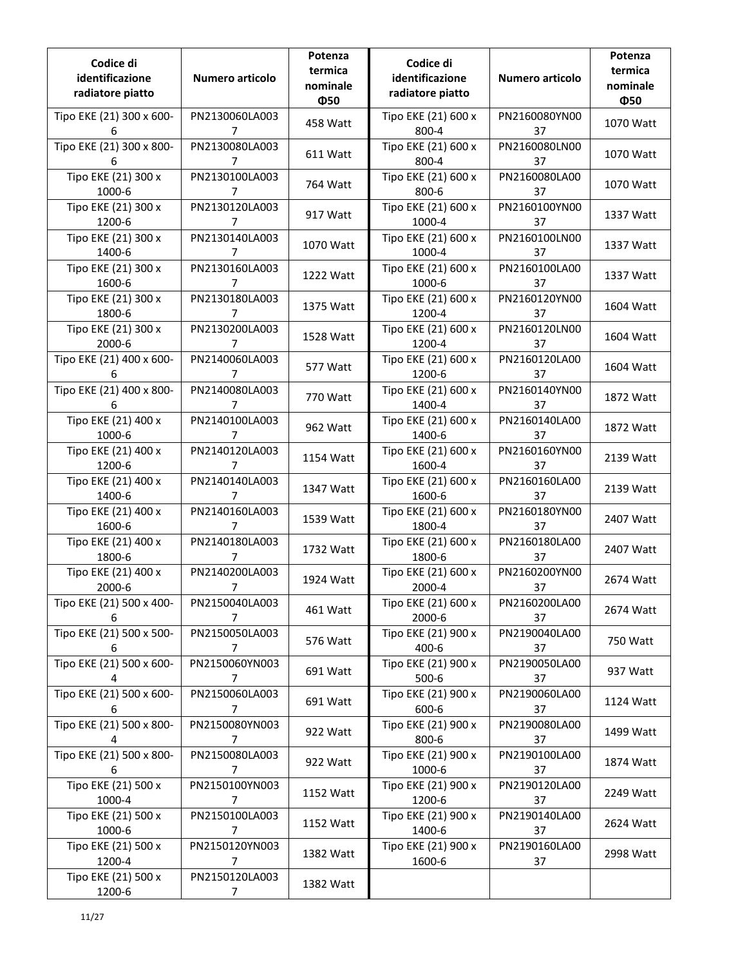| Codice di<br>identificazione<br>radiatore piatto | Numero articolo                  | Potenza<br>termica<br>nominale<br>Ф50 | Codice di<br>identificazione<br>radiatore piatto | Numero articolo     | Potenza<br>termica<br>nominale<br>Ф50 |
|--------------------------------------------------|----------------------------------|---------------------------------------|--------------------------------------------------|---------------------|---------------------------------------|
| Tipo EKE (21) 300 x 600-<br>6                    | PN2130060LA003<br>7              | 458 Watt                              | Tipo EKE (21) 600 x<br>800-4                     | PN2160080YN00<br>37 | 1070 Watt                             |
| Tipo EKE (21) 300 x 800-<br>6                    | PN2130080LA003<br>7              | 611 Watt                              | Tipo EKE (21) 600 x<br>800-4                     | PN2160080LN00<br>37 | 1070 Watt                             |
| Tipo EKE (21) 300 x<br>1000-6                    | PN2130100LA003<br>7              | 764 Watt                              | Tipo EKE (21) 600 x<br>800-6                     | PN2160080LA00<br>37 | 1070 Watt                             |
| Tipo EKE (21) 300 x<br>1200-6                    | PN2130120LA003<br>7              | 917 Watt                              | Tipo EKE (21) 600 x<br>1000-4                    | PN2160100YN00<br>37 | 1337 Watt                             |
| Tipo EKE (21) 300 x<br>1400-6                    | PN2130140LA003<br>7              | 1070 Watt                             | Tipo EKE (21) 600 x<br>1000-4                    | PN2160100LN00<br>37 | 1337 Watt                             |
| Tipo EKE (21) 300 x<br>1600-6                    | PN2130160LA003<br>7              | 1222 Watt                             | Tipo EKE (21) 600 x<br>1000-6                    | PN2160100LA00<br>37 | 1337 Watt                             |
| Tipo EKE (21) 300 x<br>1800-6                    | PN2130180LA003<br>7              | 1375 Watt                             | Tipo EKE (21) 600 x<br>1200-4                    | PN2160120YN00<br>37 | 1604 Watt                             |
| Tipo EKE (21) 300 x<br>2000-6                    | PN2130200LA003<br>7              | 1528 Watt                             | Tipo EKE (21) 600 x<br>1200-4                    | PN2160120LN00<br>37 | 1604 Watt                             |
| Tipo EKE (21) 400 x 600-<br>6                    | PN2140060LA003<br>7              | 577 Watt                              | Tipo EKE (21) 600 x<br>1200-6                    | PN2160120LA00<br>37 | 1604 Watt                             |
| Tipo EKE (21) 400 x 800-<br>6                    | PN2140080LA003<br>7              | 770 Watt                              | Tipo EKE (21) 600 x<br>1400-4                    | PN2160140YN00<br>37 | 1872 Watt                             |
| Tipo EKE (21) 400 x<br>1000-6                    | PN2140100LA003<br>7              | 962 Watt                              | Tipo EKE (21) 600 x<br>1400-6                    | PN2160140LA00<br>37 | 1872 Watt                             |
| Tipo EKE (21) 400 x<br>1200-6                    | PN2140120LA003<br>7              | 1154 Watt                             | Tipo EKE (21) 600 x<br>1600-4                    | PN2160160YN00<br>37 | 2139 Watt                             |
| Tipo EKE (21) 400 x<br>1400-6                    | PN2140140LA003<br>7              | 1347 Watt                             | Tipo EKE (21) 600 x<br>1600-6                    | PN2160160LA00<br>37 | 2139 Watt                             |
| Tipo EKE (21) 400 x<br>1600-6                    | PN2140160LA003<br>7              | 1539 Watt                             | Tipo EKE (21) 600 x<br>1800-4                    | PN2160180YN00<br>37 | 2407 Watt                             |
| Tipo EKE (21) 400 x<br>1800-6                    | PN2140180LA003<br>$\overline{7}$ | 1732 Watt                             | Tipo EKE (21) 600 x<br>1800-6                    | PN2160180LA00<br>37 | 2407 Watt                             |
| Tipo EKE (21) 400 x<br>2000-6                    | PN2140200LA003<br>7              | 1924 Watt                             | Tipo EKE (21) 600 x<br>2000-4                    | PN2160200YN00<br>37 | 2674 Watt                             |
| Tipo EKE (21) 500 x 400-<br>6                    | PN2150040LA003<br>7              | 461 Watt                              | Tipo EKE (21) 600 x<br>2000-6                    | PN2160200LA00<br>37 | 2674 Watt                             |
| Tipo EKE (21) 500 x 500-<br>6                    | PN2150050LA003<br>7              | 576 Watt                              | Tipo EKE (21) 900 x<br>400-6                     | PN2190040LA00<br>37 | 750 Watt                              |
| Tipo EKE (21) 500 x 600-<br>4                    | PN2150060YN003<br>7              | 691 Watt                              | Tipo EKE (21) 900 x<br>$500-6$                   | PN2190050LA00<br>37 | 937 Watt                              |
| Tipo EKE (21) 500 x 600-<br>6                    | PN2150060LA003<br>7              | 691 Watt                              | Tipo EKE (21) 900 x<br>600-6                     | PN2190060LA00<br>37 | 1124 Watt                             |
| Tipo EKE (21) 500 x 800-<br>4                    | PN2150080YN003<br>$\overline{7}$ | 922 Watt                              | Tipo EKE (21) 900 x<br>800-6                     | PN2190080LA00<br>37 | 1499 Watt                             |
| Tipo EKE (21) 500 x 800-<br>6                    | PN2150080LA003<br>7              | 922 Watt                              | Tipo EKE (21) 900 x<br>1000-6                    | PN2190100LA00<br>37 | 1874 Watt                             |
| Tipo EKE (21) 500 x<br>1000-4                    | PN2150100YN003<br>7              | 1152 Watt                             | Tipo EKE (21) 900 x<br>1200-6                    | PN2190120LA00<br>37 | 2249 Watt                             |
| Tipo EKE (21) 500 x<br>1000-6                    | PN2150100LA003<br>7              | 1152 Watt                             | Tipo EKE (21) 900 x<br>1400-6                    | PN2190140LA00<br>37 | 2624 Watt                             |
| Tipo EKE (21) 500 x<br>1200-4                    | PN2150120YN003<br>7              | 1382 Watt                             | Tipo EKE (21) 900 x<br>1600-6                    | PN2190160LA00<br>37 | 2998 Watt                             |
| Tipo EKE (21) 500 x<br>1200-6                    | PN2150120LA003<br>7              | 1382 Watt                             |                                                  |                     |                                       |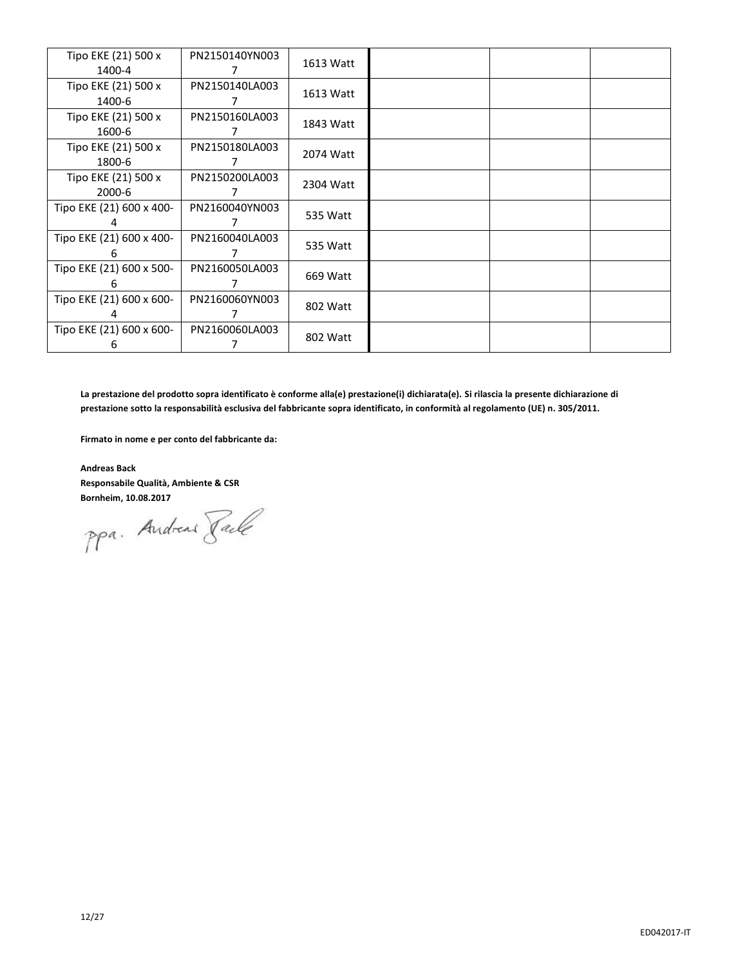| Tipo EKE (21) 500 x<br>1400-4 | PN2150140YN003 | 1613 Watt |  |  |
|-------------------------------|----------------|-----------|--|--|
| Tipo EKE (21) 500 x<br>1400-6 | PN2150140LA003 | 1613 Watt |  |  |
| Tipo EKE (21) 500 x<br>1600-6 | PN2150160LA003 | 1843 Watt |  |  |
| Tipo EKE (21) 500 x<br>1800-6 | PN2150180LA003 | 2074 Watt |  |  |
| Tipo EKE (21) 500 x<br>2000-6 | PN2150200LA003 | 2304 Watt |  |  |
| Tipo EKE (21) 600 x 400-      | PN2160040YN003 | 535 Watt  |  |  |
| Tipo EKE (21) 600 x 400-<br>h | PN2160040LA003 | 535 Watt  |  |  |
| Tipo EKE (21) 600 x 500-<br>6 | PN2160050LA003 | 669 Watt  |  |  |
| Tipo EKE (21) 600 x 600-      | PN2160060YN003 | 802 Watt  |  |  |
| Tipo EKE (21) 600 x 600-<br>h | PN2160060LA003 | 802 Watt  |  |  |

**La prestazione del prodotto sopra identificato è conforme alla(e) prestazione(i) dichiarata(e). Si rilascia la presente dichiarazione di prestazione sotto la responsabilità esclusiva del fabbricante sopra identificato, in conformità al regolamento (UE) n. 305/2011.**

**Firmato in nome e per conto del fabbricante da:**

**Andreas Back Responsabile Qualità, Ambiente & CSR**

**Bornheim, 10.08.2017**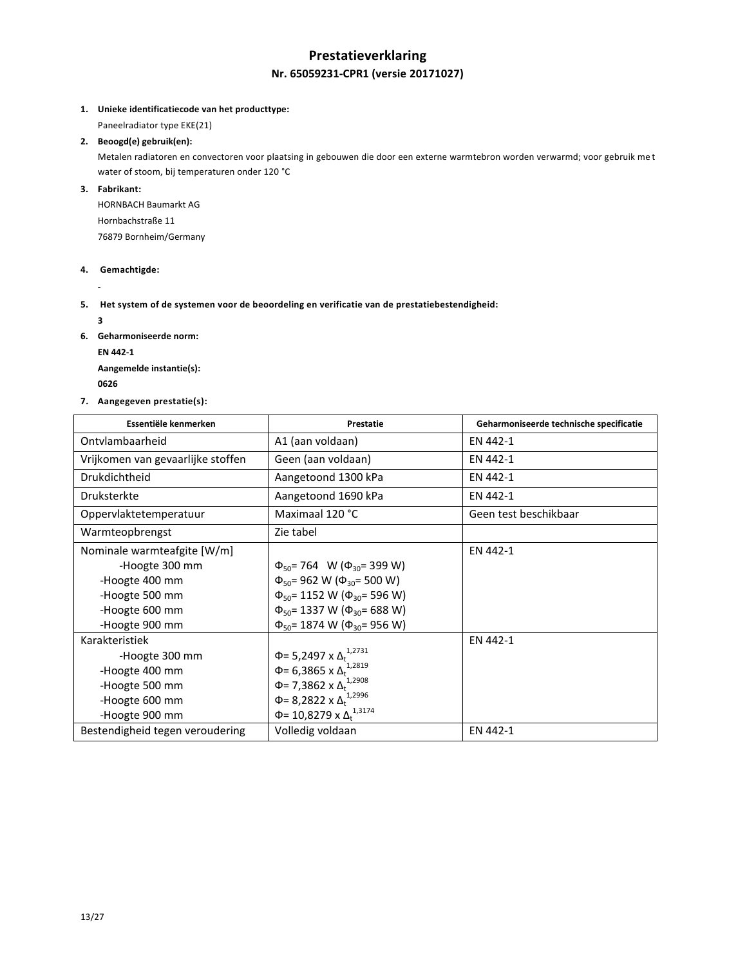## **Prestatieverklaring Nr. 65059231-CPR1 (versie 20171027)**

**1. Unieke identificatiecode van het producttype:**

Paneelradiator type EKE(21)

## **2. Beoogd(e) gebruik(en):**

Metalen radiatoren en convectoren voor plaatsing in gebouwen die door een externe warmtebron worden verwarmd; voor gebruik me t water of stoom, bij temperaturen onder 120 °C

**3. Fabrikant:**

HORNBACH Baumarkt AG Hornbachstraße 11 76879 Bornheim/Germany

## **4. Gemachtigde:**

**-**

- **5. Het system of de systemen voor de beoordeling en verificatie van de prestatiebestendigheid:** 
	- **3**
- **6. Geharmoniseerde norm:**
	- **EN 442-1**

**Aangemelde instantie(s): <sup>0626</sup>** 

**7. Aangegeven prestatie(s):**

| Essentiële kenmerken              | Prestatie                                     | Geharmoniseerde technische specificatie |
|-----------------------------------|-----------------------------------------------|-----------------------------------------|
| Ontylambaarheid                   | A1 (aan voldaan)                              | EN 442-1                                |
| Vrijkomen van gevaarlijke stoffen | Geen (aan voldaan)                            | EN 442-1                                |
| Drukdichtheid                     | Aangetoond 1300 kPa                           | EN 442-1                                |
| <b>Druksterkte</b>                | Aangetoond 1690 kPa                           | EN 442-1                                |
| Oppervlaktetemperatuur            | Maximaal 120 °C                               | Geen test beschikbaar                   |
| Warmteopbrengst                   | Zie tabel                                     |                                         |
| Nominale warmteafgite [W/m]       |                                               | EN 442-1                                |
| -Hoogte 300 mm                    | $\Phi_{50}$ = 764 W ( $\Phi_{30}$ = 399 W)    |                                         |
| -Hoogte 400 mm                    | $\Phi_{50}$ = 962 W ( $\Phi_{30}$ = 500 W)    |                                         |
| -Hoogte 500 mm                    | $\Phi_{50}$ = 1152 W ( $\Phi_{30}$ = 596 W)   |                                         |
| -Hoogte 600 mm                    | $\Phi_{50}$ = 1337 W ( $\Phi_{30}$ = 688 W)   |                                         |
| -Hoogte 900 mm                    | $\Phi_{50}$ = 1874 W ( $\Phi_{30}$ = 956 W)   |                                         |
| Karakteristiek                    |                                               | EN 442-1                                |
| -Hoogte 300 mm                    | Φ= 5,2497 x Δ <sub>t</sub> <sup>1,2731</sup>  |                                         |
| -Hoogte 400 mm                    | Φ= 6,3865 x $Δ_t$ <sup>1,2819</sup>           |                                         |
| -Hoogte 500 mm                    | Φ= 7,3862 x Δ <sup>1,2908</sup>               |                                         |
| -Hoogte 600 mm                    | Φ= 8,2822 x $Δ_t$ <sup>1,2996</sup>           |                                         |
| -Hoogte 900 mm                    | $\Phi$ = 10,8279 x $\Delta$ <sup>1,3174</sup> |                                         |
| Bestendigheid tegen veroudering   | Volledig voldaan                              | EN 442-1                                |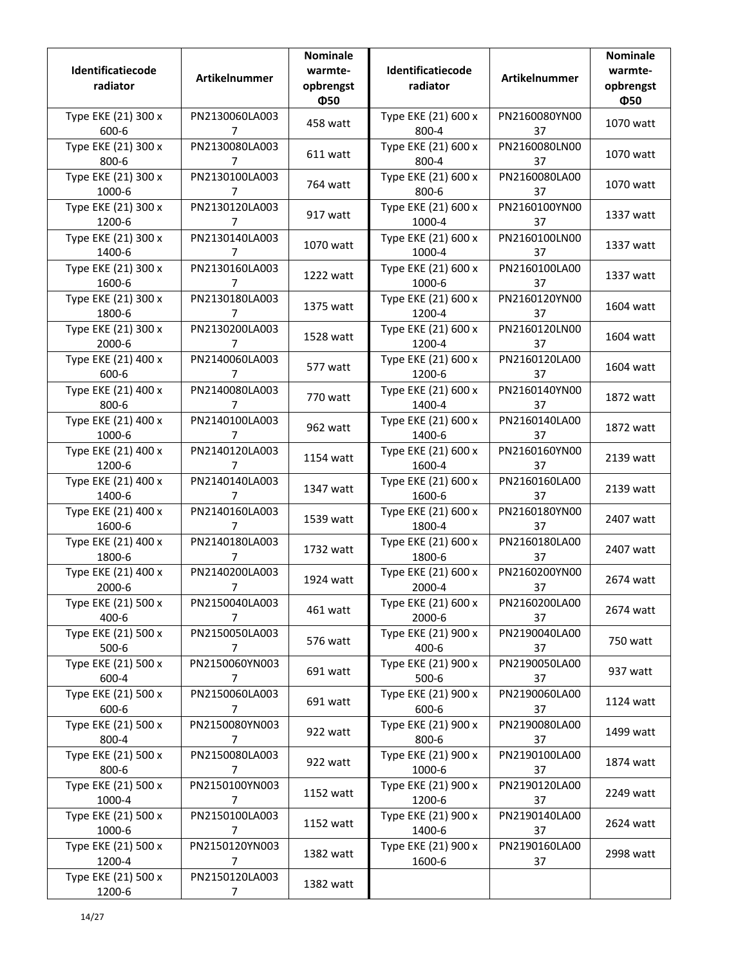| Identificatiecode<br>radiator    | Artikelnummer                    | <b>Nominale</b><br>warmte-<br>opbrengst<br>Ф50 | Identificatiecode<br>radiator  | Artikelnummer       | <b>Nominale</b><br>warmte-<br>opbrengst<br>Ф50 |
|----------------------------------|----------------------------------|------------------------------------------------|--------------------------------|---------------------|------------------------------------------------|
| Type EKE (21) 300 x<br>600-6     | PN2130060LA003<br>7              | 458 watt                                       | Type EKE (21) 600 x<br>800-4   | PN2160080YN00<br>37 | 1070 watt                                      |
| Type EKE (21) 300 x<br>800-6     | PN2130080LA003<br>7              | 611 watt                                       | Type EKE (21) 600 x<br>800-4   | PN2160080LN00<br>37 | 1070 watt                                      |
| Type EKE (21) 300 x<br>1000-6    | PN2130100LA003<br>7              | 764 watt                                       | Type EKE (21) 600 x<br>800-6   | PN2160080LA00<br>37 | 1070 watt                                      |
| Type EKE (21) 300 x<br>1200-6    | PN2130120LA003<br>7              | 917 watt                                       | Type EKE (21) 600 x<br>1000-4  | PN2160100YN00<br>37 | 1337 watt                                      |
| Type EKE (21) 300 x<br>1400-6    | PN2130140LA003<br>7              | 1070 watt                                      | Type EKE (21) 600 x<br>1000-4  | PN2160100LN00<br>37 | 1337 watt                                      |
| Type EKE (21) 300 x<br>1600-6    | PN2130160LA003<br>7              | 1222 watt                                      | Type EKE (21) 600 x<br>1000-6  | PN2160100LA00<br>37 | 1337 watt                                      |
| Type EKE (21) 300 x<br>1800-6    | PN2130180LA003<br>7              | 1375 watt                                      | Type EKE (21) 600 x<br>1200-4  | PN2160120YN00<br>37 | 1604 watt                                      |
| Type EKE (21) 300 x<br>2000-6    | PN2130200LA003<br>7              | 1528 watt                                      | Type EKE (21) 600 x<br>1200-4  | PN2160120LN00<br>37 | 1604 watt                                      |
| Type EKE (21) 400 x<br>600-6     | PN2140060LA003<br>7              | 577 watt                                       | Type EKE (21) 600 x<br>1200-6  | PN2160120LA00<br>37 | 1604 watt                                      |
| Type EKE (21) 400 x<br>800-6     | PN2140080LA003<br>7              | 770 watt                                       | Type EKE (21) 600 x<br>1400-4  | PN2160140YN00<br>37 | 1872 watt                                      |
| Type EKE (21) 400 x<br>1000-6    | PN2140100LA003<br>7              | 962 watt                                       | Type EKE (21) 600 x<br>1400-6  | PN2160140LA00<br>37 | 1872 watt                                      |
| Type EKE (21) 400 x<br>1200-6    | PN2140120LA003<br>7              | 1154 watt                                      | Type EKE (21) 600 x<br>1600-4  | PN2160160YN00<br>37 | 2139 watt                                      |
| Type EKE (21) 400 x<br>1400-6    | PN2140140LA003<br>7              | 1347 watt                                      | Type EKE (21) 600 x<br>1600-6  | PN2160160LA00<br>37 | 2139 watt                                      |
| Type EKE (21) 400 x<br>1600-6    | PN2140160LA003<br>7              | 1539 watt                                      | Type EKE (21) 600 x<br>1800-4  | PN2160180YN00<br>37 | 2407 watt                                      |
| Type EKE (21) 400 x<br>1800-6    | PN2140180LA003<br>7              | 1732 watt                                      | Type EKE (21) 600 x<br>1800-6  | PN2160180LA00<br>37 | 2407 watt                                      |
| Type EKE (21) 400 x<br>2000-6    | PN2140200LA003<br>7              | 1924 watt                                      | Type EKE (21) 600 x<br>2000-4  | PN2160200YN00<br>37 | 2674 watt                                      |
| Type EKE (21) 500 x<br>400-6     | PN2150040LA003<br>7              | 461 watt                                       | Type EKE (21) 600 x<br>2000-6  | PN2160200LA00<br>37 | 2674 watt                                      |
| Type EKE (21) 500 x<br>$500 - 6$ | PN2150050LA003<br>7              | 576 watt                                       | Type EKE (21) 900 x<br>400-6   | PN2190040LA00<br>37 | 750 watt                                       |
| Type EKE (21) 500 x<br>600-4     | PN2150060YN003<br>$\overline{7}$ | 691 watt                                       | Type EKE (21) 900 x<br>$500-6$ | PN2190050LA00<br>37 | 937 watt                                       |
| Type EKE (21) 500 x<br>600-6     | PN2150060LA003<br>$\overline{7}$ | 691 watt                                       | Type EKE (21) 900 x<br>600-6   | PN2190060LA00<br>37 | 1124 watt                                      |
| Type EKE (21) 500 x<br>800-4     | PN2150080YN003<br>$\overline{7}$ | 922 watt                                       | Type EKE (21) 900 x<br>800-6   | PN2190080LA00<br>37 | 1499 watt                                      |
| Type EKE (21) 500 x<br>800-6     | PN2150080LA003<br>7              | 922 watt                                       | Type EKE (21) 900 x<br>1000-6  | PN2190100LA00<br>37 | 1874 watt                                      |
| Type EKE (21) 500 x<br>1000-4    | PN2150100YN003<br>7              | 1152 watt                                      | Type EKE (21) 900 x<br>1200-6  | PN2190120LA00<br>37 | 2249 watt                                      |
| Type EKE (21) 500 x<br>1000-6    | PN2150100LA003<br>7              | 1152 watt                                      | Type EKE (21) 900 x<br>1400-6  | PN2190140LA00<br>37 | 2624 watt                                      |
| Type EKE (21) 500 x<br>1200-4    | PN2150120YN003<br>7              | 1382 watt                                      | Type EKE (21) 900 x<br>1600-6  | PN2190160LA00<br>37 | 2998 watt                                      |
| Type EKE (21) 500 x<br>1200-6    | PN2150120LA003<br>7              | 1382 watt                                      |                                |                     |                                                |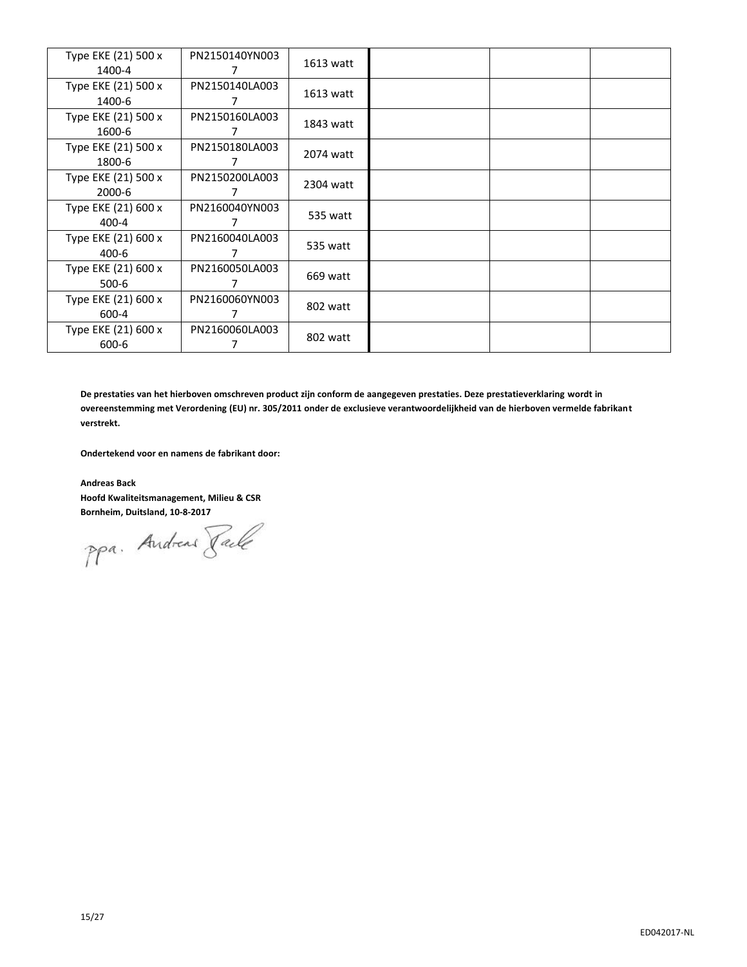| Type EKE (21) 500 x<br>1400-4 | PN2150140YN003 | 1613 watt |  |  |
|-------------------------------|----------------|-----------|--|--|
| Type EKE (21) 500 x           | PN2150140LA003 | 1613 watt |  |  |
| 1400-6                        |                |           |  |  |
| Type EKE (21) 500 x           | PN2150160LA003 | 1843 watt |  |  |
| 1600-6                        | 7              |           |  |  |
| Type EKE (21) 500 x           | PN2150180LA003 | 2074 watt |  |  |
| 1800-6                        |                |           |  |  |
| Type EKE (21) 500 x           | PN2150200LA003 | 2304 watt |  |  |
| 2000-6                        |                |           |  |  |
| Type EKE (21) 600 x           | PN2160040YN003 | 535 watt  |  |  |
| $400 - 4$                     |                |           |  |  |
| Type EKE (21) 600 x           | PN2160040LA003 | 535 watt  |  |  |
| $400 - 6$                     |                |           |  |  |
| Type EKE (21) 600 x           | PN2160050LA003 | 669 watt  |  |  |
| 500-6                         |                |           |  |  |
| Type EKE (21) 600 x           | PN2160060YN003 |           |  |  |
| 600-4                         |                | 802 watt  |  |  |
| Type EKE (21) 600 x           | PN2160060LA003 |           |  |  |
| 600-6                         |                | 802 watt  |  |  |

**De prestaties van het hierboven omschreven product zijn conform de aangegeven prestaties. Deze prestatieverklaring wordt in overeenstemming met Verordening (EU) nr. 305/2011 onder de exclusieve verantwoordelijkheid van de hierboven vermelde fabrikant verstrekt.**

**Ondertekend voor en namens de fabrikant door:**

**Andreas Back Hoofd Kwaliteitsmanagement, Milieu & CSR**

**Bornheim, Duitsland, 10-8-2017**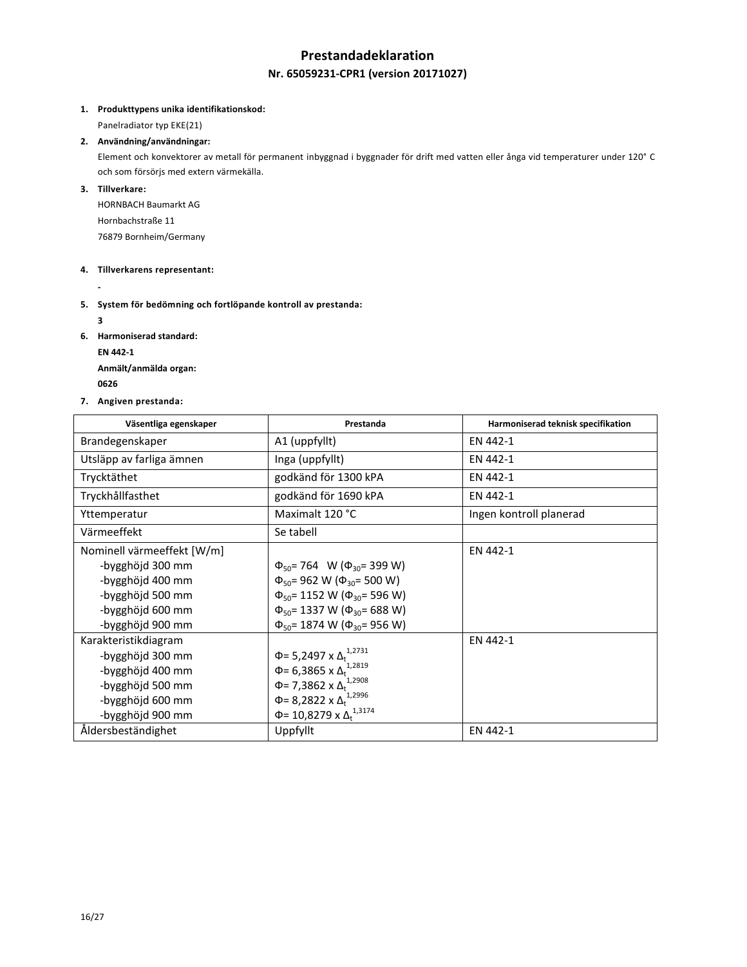## **Prestandadeklaration**

## **Nr. 65059231-CPR1 (version 20171027)**

#### **1. Produkttypens unika identifikationskod:**

Panelradiator typ EKE(21)

### **2. Användning/användningar:**

Element och konvektorer av metall för permanent inbyggnad i byggnader för drift med vatten eller ånga vid temperaturer under 120° C och som försörjs med extern värmekälla.

## **3. Tillverkare:**

HORNBACH Baumarkt AG Hornbachstraße 11 76879 Bornheim/Germany

## **4. Tillverkarens representant:**

**-**

## **5. System för bedömning och fortlöpande kontroll av prestanda:**

**3**

- **6. Harmoniserad standard:**
	- **EN 442-1**

**Anmält/anmälda organ: <sup>0626</sup>** 

**7. Angiven prestanda:**

| Väsentliga egenskaper      | Prestanda                                     | Harmoniserad teknisk specifikation |
|----------------------------|-----------------------------------------------|------------------------------------|
| Brandegenskaper            | A1 (uppfyllt)                                 | EN 442-1                           |
| Utsläpp av farliga ämnen   | Inga (uppfyllt)                               | EN 442-1                           |
| Trycktäthet                | godkänd för 1300 kPA                          | EN 442-1                           |
| Tryckhållfasthet           | godkänd för 1690 kPA                          | EN 442-1                           |
| Yttemperatur               | Maximalt 120 °C                               | Ingen kontroll planerad            |
| Värmeeffekt                | Se tabell                                     |                                    |
| Nominell värmeeffekt [W/m] |                                               | EN 442-1                           |
| -bygghöjd 300 mm           | $\Phi_{50}$ = 764 W ( $\Phi_{30}$ = 399 W)    |                                    |
| -bygghöjd 400 mm           | $\Phi_{50}$ = 962 W ( $\Phi_{30}$ = 500 W)    |                                    |
| -bygghöjd 500 mm           | $\Phi_{50}$ = 1152 W ( $\Phi_{30}$ = 596 W)   |                                    |
| -bygghöjd 600 mm           | $\Phi_{50}$ = 1337 W ( $\Phi_{30}$ = 688 W)   |                                    |
| -bygghöjd 900 mm           | $\Phi_{50}$ = 1874 W ( $\Phi_{30}$ = 956 W)   |                                    |
| Karakteristikdiagram       |                                               | EN 442-1                           |
| -bygghöjd 300 mm           | $\Phi$ = 5,2497 x $\Delta_t^{1,2731}$         |                                    |
| -bygghöjd 400 mm           | Φ= 6,3865 x $Δ_t$ <sup>1,2819</sup>           |                                    |
| -bygghöjd 500 mm           | $\Phi$ = 7,3862 x $\Delta_t^{1,2908}$         |                                    |
| -bygghöjd 600 mm           | Φ= 8,2822 x $Δ_t$ <sup>1,2996</sup>           |                                    |
| -bygghöjd 900 mm           | Φ= 10,8279 x Δ <sub>+</sub> <sup>1,3174</sup> |                                    |
| Åldersbeständighet         | Uppfyllt                                      | EN 442-1                           |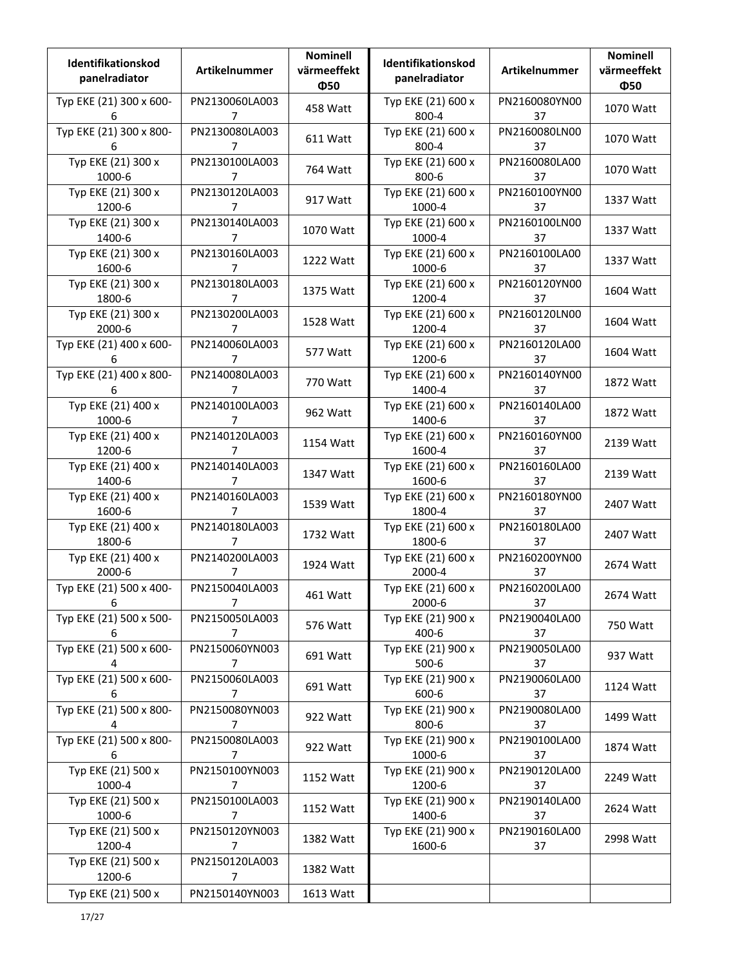| Identifikationskod<br>panelradiator | Artikelnummer                    | <b>Nominell</b><br>värmeeffekt<br>Ф50 | Identifikationskod<br>panelradiator | Artikelnummer       | <b>Nominell</b><br>värmeeffekt<br>Ф50 |
|-------------------------------------|----------------------------------|---------------------------------------|-------------------------------------|---------------------|---------------------------------------|
| Typ EKE (21) 300 x 600-<br>6        | PN2130060LA003<br>$\overline{7}$ | 458 Watt                              | Typ EKE (21) 600 x<br>800-4         | PN2160080YN00<br>37 | 1070 Watt                             |
| Typ EKE (21) 300 x 800-<br>6        | PN2130080LA003<br>7              | 611 Watt                              | Typ EKE (21) 600 x<br>800-4         | PN2160080LN00<br>37 | 1070 Watt                             |
| Typ EKE (21) 300 x<br>1000-6        | PN2130100LA003<br>7              | 764 Watt                              | Typ EKE (21) 600 x<br>800-6         | PN2160080LA00<br>37 | 1070 Watt                             |
| Typ EKE (21) 300 x<br>1200-6        | PN2130120LA003<br>7              | 917 Watt                              | Typ EKE (21) 600 x<br>1000-4        | PN2160100YN00<br>37 | 1337 Watt                             |
| Typ EKE (21) 300 x<br>1400-6        | PN2130140LA003<br>7              | 1070 Watt                             | Typ EKE (21) 600 x<br>1000-4        | PN2160100LN00<br>37 | 1337 Watt                             |
| Typ EKE (21) 300 x<br>1600-6        | PN2130160LA003<br>7              | 1222 Watt                             | Typ EKE (21) 600 x<br>1000-6        | PN2160100LA00<br>37 | 1337 Watt                             |
| Typ EKE (21) 300 x<br>1800-6        | PN2130180LA003<br>7              | 1375 Watt                             | Typ EKE (21) 600 x<br>1200-4        | PN2160120YN00<br>37 | 1604 Watt                             |
| Typ EKE (21) 300 x<br>2000-6        | PN2130200LA003<br>7              | 1528 Watt                             | Typ EKE (21) 600 x<br>1200-4        | PN2160120LN00<br>37 | 1604 Watt                             |
| Typ EKE (21) 400 x 600-<br>6        | PN2140060LA003<br>7              | 577 Watt                              | Typ EKE (21) 600 x<br>1200-6        | PN2160120LA00<br>37 | 1604 Watt                             |
| Typ EKE (21) 400 x 800-<br>6        | PN2140080LA003<br>7              | 770 Watt                              | Typ EKE (21) 600 x<br>1400-4        | PN2160140YN00<br>37 | 1872 Watt                             |
| Typ EKE (21) 400 x<br>1000-6        | PN2140100LA003<br>7              | 962 Watt                              | Typ EKE (21) 600 x<br>1400-6        | PN2160140LA00<br>37 | 1872 Watt                             |
| Typ EKE (21) 400 x<br>1200-6        | PN2140120LA003<br>7              | 1154 Watt                             | Typ EKE (21) 600 x<br>1600-4        | PN2160160YN00<br>37 | 2139 Watt                             |
| Typ EKE (21) 400 x<br>1400-6        | PN2140140LA003<br>7              | 1347 Watt                             | Typ EKE (21) 600 x<br>1600-6        | PN2160160LA00<br>37 | 2139 Watt                             |
| Typ EKE (21) 400 x<br>1600-6        | PN2140160LA003<br>7              | 1539 Watt                             | Typ EKE (21) 600 x<br>1800-4        | PN2160180YN00<br>37 | 2407 Watt                             |
| Typ EKE (21) 400 x<br>1800-6        | PN2140180LA003<br>7              | 1732 Watt                             | Typ EKE (21) 600 x<br>1800-6        | PN2160180LA00<br>37 | 2407 Watt                             |
| Typ EKE (21) 400 x<br>2000-6        | PN2140200LA003<br>7              | 1924 Watt                             | Typ EKE (21) 600 x<br>2000-4        | PN2160200YN00<br>37 | 2674 Watt                             |
| Typ EKE (21) 500 x 400-<br>6        | PN2150040LA003<br>7              | 461 Watt                              | Typ EKE (21) 600 x<br>2000-6        | PN2160200LA00<br>37 | 2674 Watt                             |
| Typ EKE (21) 500 x 500-<br>6        | PN2150050LA003<br>7              | 576 Watt                              | Typ EKE (21) 900 x<br>400-6         | PN2190040LA00<br>37 | 750 Watt                              |
| Typ EKE (21) 500 x 600-<br>4        | PN2150060YN003<br>$\overline{7}$ | 691 Watt                              | Typ EKE (21) 900 x<br>$500-6$       | PN2190050LA00<br>37 | 937 Watt                              |
| Typ EKE (21) 500 x 600-<br>6        | PN2150060LA003<br>$\overline{7}$ | 691 Watt                              | Typ EKE (21) 900 x<br>600-6         | PN2190060LA00<br>37 | 1124 Watt                             |
| Typ EKE (21) 500 x 800-<br>4        | PN2150080YN003<br>7              | 922 Watt                              | Typ EKE (21) 900 x<br>800-6         | PN2190080LA00<br>37 | 1499 Watt                             |
| Typ EKE (21) 500 x 800-<br>6        | PN2150080LA003<br>7              | 922 Watt                              | Typ EKE (21) 900 x<br>1000-6        | PN2190100LA00<br>37 | 1874 Watt                             |
| Typ EKE (21) 500 x<br>1000-4        | PN2150100YN003<br>7              | 1152 Watt                             | Typ EKE (21) 900 x<br>1200-6        | PN2190120LA00<br>37 | 2249 Watt                             |
| Typ EKE (21) 500 x<br>1000-6        | PN2150100LA003<br>7              | 1152 Watt                             | Typ EKE (21) 900 x<br>1400-6        | PN2190140LA00<br>37 | 2624 Watt                             |
| Typ EKE (21) 500 x<br>1200-4        | PN2150120YN003<br>$\overline{7}$ | 1382 Watt                             | Typ EKE (21) 900 x<br>1600-6        | PN2190160LA00<br>37 | 2998 Watt                             |
| Typ EKE (21) 500 x<br>1200-6        | PN2150120LA003<br>$\overline{7}$ | 1382 Watt                             |                                     |                     |                                       |
| Typ EKE (21) 500 x                  | PN2150140YN003                   | 1613 Watt                             |                                     |                     |                                       |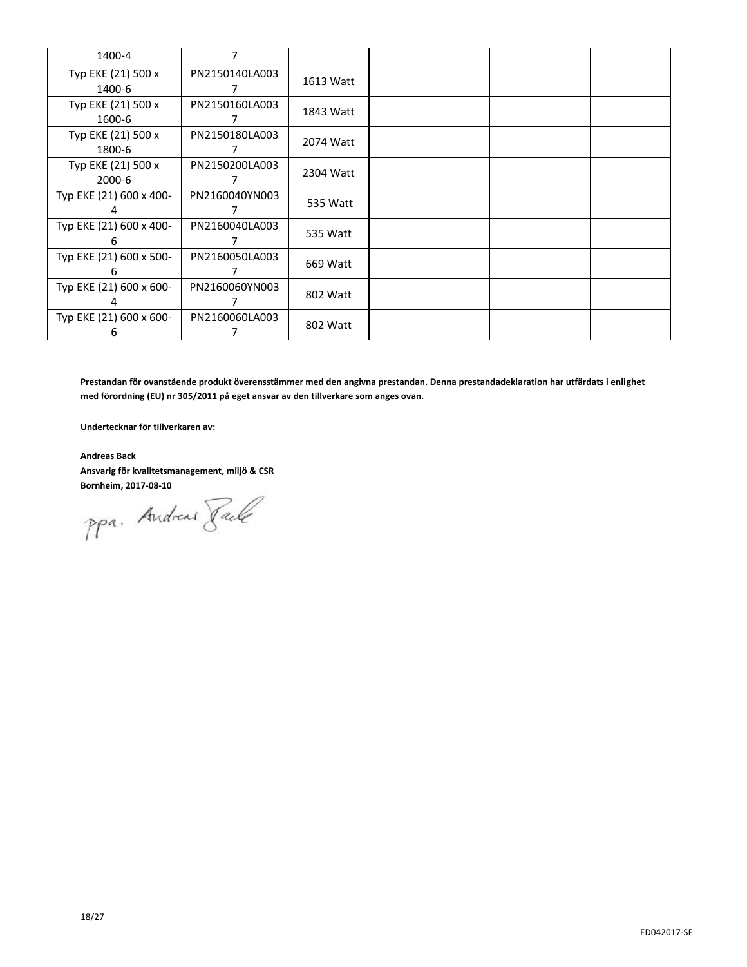| 1400-4                       | 7              |           |  |  |
|------------------------------|----------------|-----------|--|--|
| Typ EKE (21) 500 x<br>1400-6 | PN2150140LA003 | 1613 Watt |  |  |
| Typ EKE (21) 500 x<br>1600-6 | PN2150160LA003 | 1843 Watt |  |  |
| Typ EKE (21) 500 x<br>1800-6 | PN2150180LA003 | 2074 Watt |  |  |
| Typ EKE (21) 500 x<br>2000-6 | PN2150200LA003 | 2304 Watt |  |  |
| Typ EKE (21) 600 x 400-      | PN2160040YN003 | 535 Watt  |  |  |
| Typ EKE (21) 600 x 400-<br>h | PN2160040LA003 | 535 Watt  |  |  |
| Typ EKE (21) 600 x 500-<br>h | PN2160050LA003 | 669 Watt  |  |  |
| Typ EKE (21) 600 x 600-      | PN2160060YN003 | 802 Watt  |  |  |
| Typ EKE (21) 600 x 600-<br>6 | PN2160060LA003 | 802 Watt  |  |  |

**Prestandan för ovanstående produkt överensstämmer med den angivna prestandan. Denna prestandadeklaration har utfärdats i enlighet med förordning (EU) nr 305/2011 på eget ansvar av den tillverkare som anges ovan.**

**Undertecknar för tillverkaren av:**

**Andreas Back Ansvarig för kvalitetsmanagement, miljö & CSR**

**Bornheim, 2017-08-10**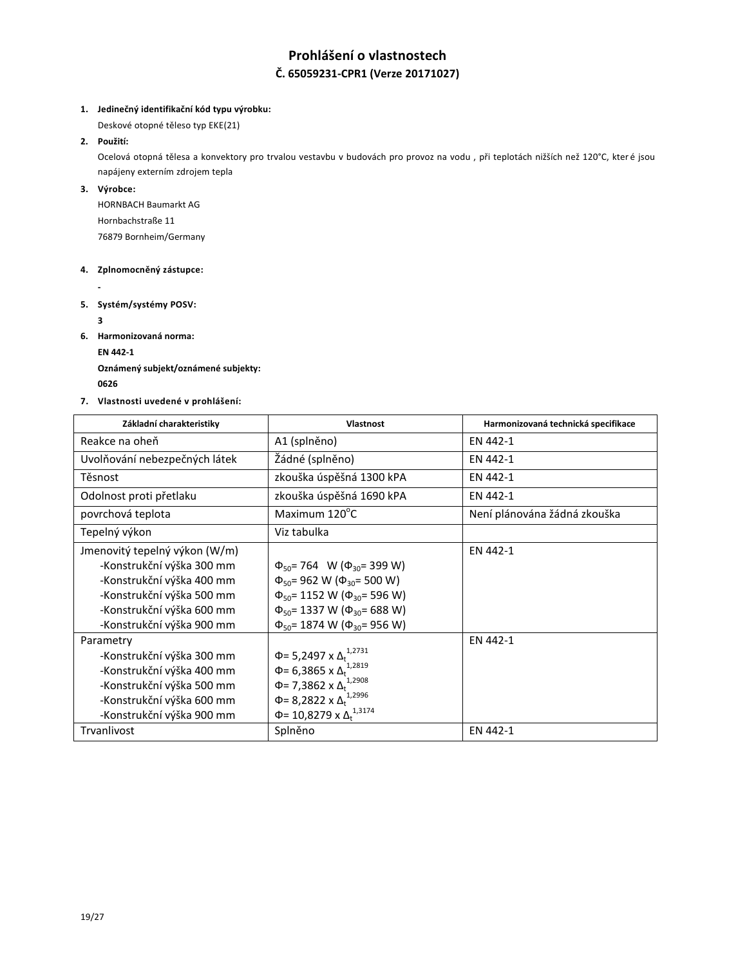# **Prohlášení o vlastnostech Č. 65059231-CPR1 (Verze 20171027)**

## **1. Jedinečný identifikační kód typu výrobku:**

Deskové otopné těleso typ EKE(21)

## **2. Použití:**

Ocelová otopná tělesa a konvektory pro trvalou vestavbu v budovách pro provoz na vodu , při teplotách nižších než 120°C, které jsou napájeny externím zdrojem tepla

## **3. Výrobce:**

HORNBACH Baumarkt AG Hornbachstraße 11 76879 Bornheim/Germany

## **4. Zplnomocněný zástupce:**

**-**

**5. Systém/systémy POSV:**

**3**

**6. Harmonizovaná norma:**

**EN 442-1**

**Oznámený subjekt/oznámené subjekty: <sup>0626</sup>** 

**7. Vlastnosti uvedené v prohlášení:**

| Základní charakteristiky      | Vlastnost                                    | Harmonizovaná technická specifikace |
|-------------------------------|----------------------------------------------|-------------------------------------|
| Reakce na oheň                | A1 (splněno)                                 | EN 442-1                            |
| Uvolňování nebezpečných látek | Žádné (splněno)                              | EN 442-1                            |
| Těsnost                       | zkouška úspěšná 1300 kPA                     | EN 442-1                            |
| Odolnost proti přetlaku       | zkouška úspěšná 1690 kPA                     | EN 442-1                            |
| povrchová teplota             | Maximum 120°C                                | Není plánována žádná zkouška        |
| Tepelný výkon                 | Viz tabulka                                  |                                     |
| Jmenovitý tepelný výkon (W/m) |                                              | EN 442-1                            |
| -Konstrukční výška 300 mm     | $\Phi_{50}$ = 764 W ( $\Phi_{30}$ = 399 W)   |                                     |
| -Konstrukční výška 400 mm     | $\Phi_{50}$ = 962 W ( $\Phi_{30}$ = 500 W)   |                                     |
| -Konstrukční výška 500 mm     | $\Phi_{50}$ = 1152 W ( $\Phi_{30}$ = 596 W)  |                                     |
| -Konstrukční výška 600 mm     | $\Phi_{50}$ = 1337 W ( $\Phi_{30}$ = 688 W)  |                                     |
| -Konstrukční výška 900 mm     | $\Phi_{50}$ = 1874 W ( $\Phi_{30}$ = 956 W)  |                                     |
| Parametry                     |                                              | EN 442-1                            |
| -Konstrukční výška 300 mm     | Φ= 5,2497 x Δ <sub>t</sub> <sup>1,2731</sup> |                                     |
| -Konstrukční výška 400 mm     | $\Phi$ = 6,3865 x $\Delta_t^{1,2819}$        |                                     |
| -Konstrukční výška 500 mm     | Φ= 7,3862 x Δ <sup>1,2908</sup>              |                                     |
| -Konstrukční výška 600 mm     | Φ= 8,2822 x $Δ_t$ <sup>1,2996</sup>          |                                     |
| -Konstrukční výška 900 mm     | Φ= 10,8279 x Δ <sup>1,3174</sup>             |                                     |
| Trvanlivost                   | Splněno                                      | EN 442-1                            |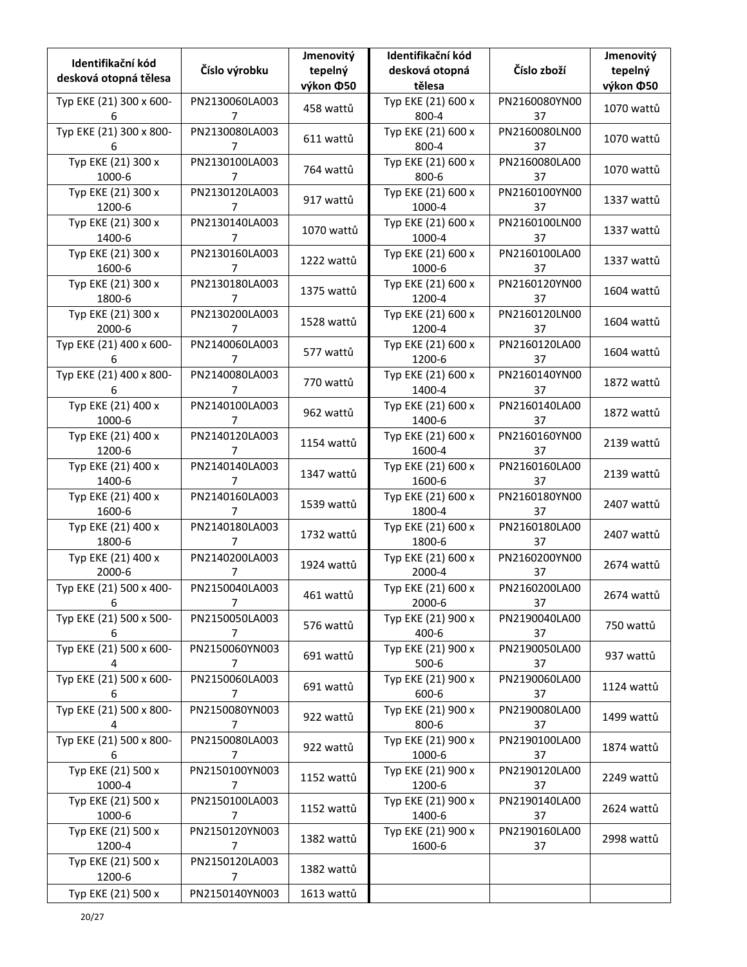| Identifikační kód<br>desková otopná tělesa | Číslo výrobku                    | Jmenovitý<br>tepelný<br>výkon ¢50 | Identifikační kód<br>desková otopná<br>tělesa | Číslo zboží         | Jmenovitý<br>tepelný<br>výkon ¢50 |
|--------------------------------------------|----------------------------------|-----------------------------------|-----------------------------------------------|---------------------|-----------------------------------|
| Typ EKE (21) 300 x 600-<br>6               | PN2130060LA003<br>7              | 458 wattů                         | Typ EKE (21) 600 x<br>800-4                   | PN2160080YN00<br>37 | 1070 wattů                        |
| Typ EKE (21) 300 x 800-<br>6               | PN2130080LA003<br>7              | 611 wattů                         | Typ EKE (21) 600 x<br>800-4                   | PN2160080LN00<br>37 | 1070 wattů                        |
| Typ EKE (21) 300 x<br>1000-6               | PN2130100LA003<br>7              | 764 wattů                         | Typ EKE (21) 600 x<br>800-6                   | PN2160080LA00<br>37 | 1070 wattů                        |
| Typ EKE (21) 300 x<br>1200-6               | PN2130120LA003<br>7              | 917 wattů                         | Typ EKE (21) 600 x<br>1000-4                  | PN2160100YN00<br>37 | 1337 wattů                        |
| Typ EKE (21) 300 x<br>1400-6               | PN2130140LA003<br>7              | 1070 wattů                        | Typ EKE (21) 600 x<br>1000-4                  | PN2160100LN00<br>37 | 1337 wattů                        |
| Typ EKE (21) 300 x<br>1600-6               | PN2130160LA003<br>7              | 1222 wattů                        | Typ EKE (21) 600 x<br>1000-6                  | PN2160100LA00<br>37 | 1337 wattů                        |
| Typ EKE (21) 300 x<br>1800-6               | PN2130180LA003<br>7              | 1375 wattů                        | Typ EKE (21) 600 x<br>1200-4                  | PN2160120YN00<br>37 | 1604 wattů                        |
| Typ EKE (21) 300 x<br>2000-6               | PN2130200LA003<br>7              | 1528 wattů                        | Typ EKE (21) 600 x<br>1200-4                  | PN2160120LN00<br>37 | 1604 wattů                        |
| Typ EKE (21) 400 x 600-<br>6               | PN2140060LA003<br>7              | 577 wattů                         | Typ EKE (21) 600 x<br>1200-6                  | PN2160120LA00<br>37 | 1604 wattů                        |
| Typ EKE (21) 400 x 800-<br>6               | PN2140080LA003<br>7              | 770 wattů                         | Typ EKE (21) 600 x<br>1400-4                  | PN2160140YN00<br>37 | 1872 wattů                        |
| Typ EKE (21) 400 x<br>1000-6               | PN2140100LA003<br>7              | 962 wattů                         | Typ EKE (21) 600 x<br>1400-6                  | PN2160140LA00<br>37 | 1872 wattů                        |
| Typ EKE (21) 400 x<br>1200-6               | PN2140120LA003<br>7              | 1154 wattů                        | Typ EKE (21) 600 x<br>1600-4                  | PN2160160YN00<br>37 | 2139 wattů                        |
| Typ EKE (21) 400 x<br>1400-6               | PN2140140LA003<br>7              | 1347 wattů                        | Typ EKE (21) 600 x<br>1600-6                  | PN2160160LA00<br>37 | 2139 wattů                        |
| Typ EKE (21) 400 x<br>1600-6               | PN2140160LA003<br>7              | 1539 wattů                        | Typ EKE (21) 600 x<br>1800-4                  | PN2160180YN00<br>37 | 2407 wattů                        |
| Typ EKE (21) 400 x<br>1800-6               | PN2140180LA003<br>7              | 1732 wattů                        | Typ EKE (21) 600 x<br>1800-6                  | PN2160180LA00<br>37 | 2407 wattů                        |
| Typ EKE (21) 400 x<br>2000-6               | PN2140200LA003                   | 1924 wattů                        | Typ EKE (21) 600 x<br>2000-4                  | PN2160200YN00<br>37 | 2674 wattů                        |
| Typ EKE (21) 500 x 400-<br>6               | PN2150040LA003<br>$\overline{7}$ | 461 wattů                         | Typ EKE (21) 600 x<br>2000-6                  | PN2160200LA00<br>37 | 2674 wattů                        |
| Typ EKE (21) 500 x 500-<br>6               | PN2150050LA003<br>7              | 576 wattů                         | Typ EKE (21) 900 x<br>400-6                   | PN2190040LA00<br>37 | 750 wattů                         |
| Typ EKE (21) 500 x 600-<br>4               | PN2150060YN003<br>7              | 691 wattů                         | Typ EKE (21) 900 x<br>$500-6$                 | PN2190050LA00<br>37 | 937 wattů                         |
| Typ EKE (21) 500 x 600-<br>6               | PN2150060LA003<br>$\overline{7}$ | 691 wattů                         | Typ EKE (21) 900 x<br>600-6                   | PN2190060LA00<br>37 | 1124 wattů                        |
| Typ EKE (21) 500 x 800-<br>4               | PN2150080YN003<br>7              | 922 wattů                         | Typ EKE (21) 900 x<br>800-6                   | PN2190080LA00<br>37 | 1499 wattů                        |
| Typ EKE (21) 500 x 800-<br>6               | PN2150080LA003<br>7              | 922 wattů                         | Typ EKE (21) 900 x<br>1000-6                  | PN2190100LA00<br>37 | 1874 wattů                        |
| Typ EKE (21) 500 x<br>1000-4               | PN2150100YN003<br>$\overline{7}$ | 1152 wattů                        | Typ EKE (21) 900 x<br>1200-6                  | PN2190120LA00<br>37 | 2249 wattů                        |
| Typ EKE (21) 500 x<br>1000-6               | PN2150100LA003<br>7              | 1152 wattů                        | Typ EKE (21) 900 x<br>1400-6                  | PN2190140LA00<br>37 | 2624 wattů                        |
| Typ EKE (21) 500 x<br>1200-4               | PN2150120YN003<br>7              | 1382 wattů                        | Typ EKE (21) 900 x<br>1600-6                  | PN2190160LA00<br>37 | 2998 wattů                        |
| Typ EKE (21) 500 x<br>1200-6               | PN2150120LA003<br>7              | 1382 wattů                        |                                               |                     |                                   |
| Typ EKE (21) 500 x                         | PN2150140YN003                   | 1613 wattů                        |                                               |                     |                                   |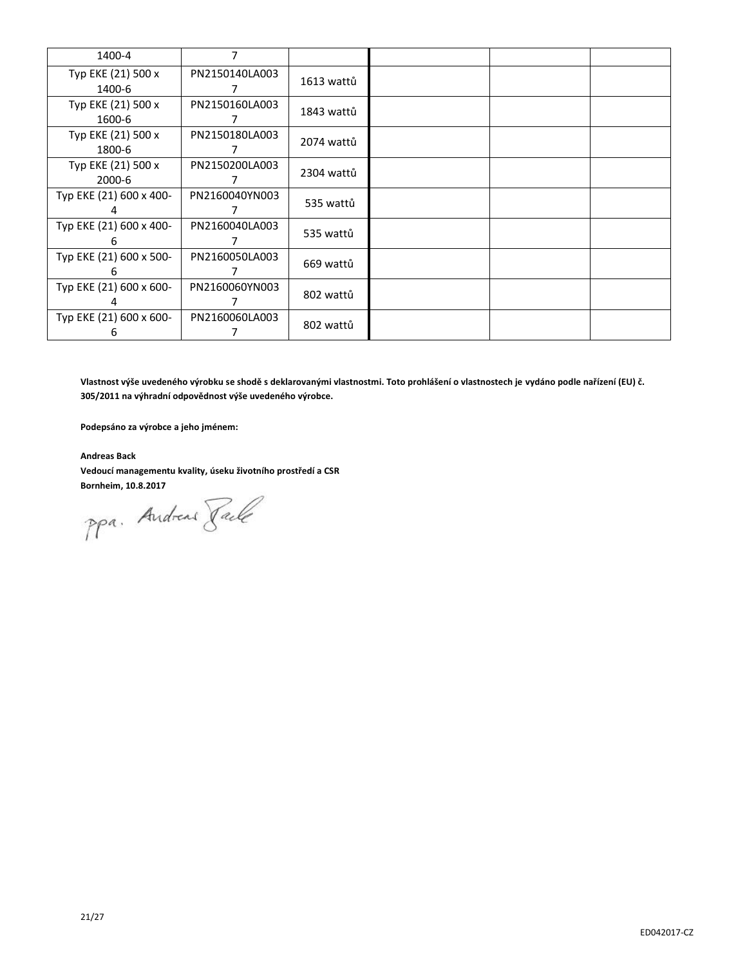| 1400-4                       | 7              |            |  |  |
|------------------------------|----------------|------------|--|--|
| Typ EKE (21) 500 x<br>1400-6 | PN2150140LA003 | 1613 wattů |  |  |
| Typ EKE (21) 500 x<br>1600-6 | PN2150160LA003 | 1843 wattů |  |  |
| Typ EKE (21) 500 x<br>1800-6 | PN2150180LA003 | 2074 wattů |  |  |
| Typ EKE (21) 500 x<br>2000-6 | PN2150200LA003 | 2304 wattů |  |  |
| Typ EKE (21) 600 x 400-      | PN2160040YN003 | 535 wattů  |  |  |
| Typ EKE (21) 600 x 400-<br>h | PN2160040LA003 | 535 wattů  |  |  |
| Typ EKE (21) 600 x 500-<br>h | PN2160050LA003 | 669 wattů  |  |  |
| Typ EKE (21) 600 x 600-      | PN2160060YN003 | 802 wattů  |  |  |
| Typ EKE (21) 600 x 600-<br>6 | PN2160060LA003 | 802 wattů  |  |  |

**Vlastnost výše uvedeného výrobku se shodě s deklarovanými vlastnostmi. Toto prohlášení o vlastnostech je vydáno podle nařízení (EU) č. 305/2011 na výhradní odpovědnost výše uvedeného výrobce.**

**Podepsáno za výrobce a jeho jménem:**

**Andreas Back Vedoucí managementu kvality, úseku životního prostředí a CSR**

**Bornheim, 10.8.2017**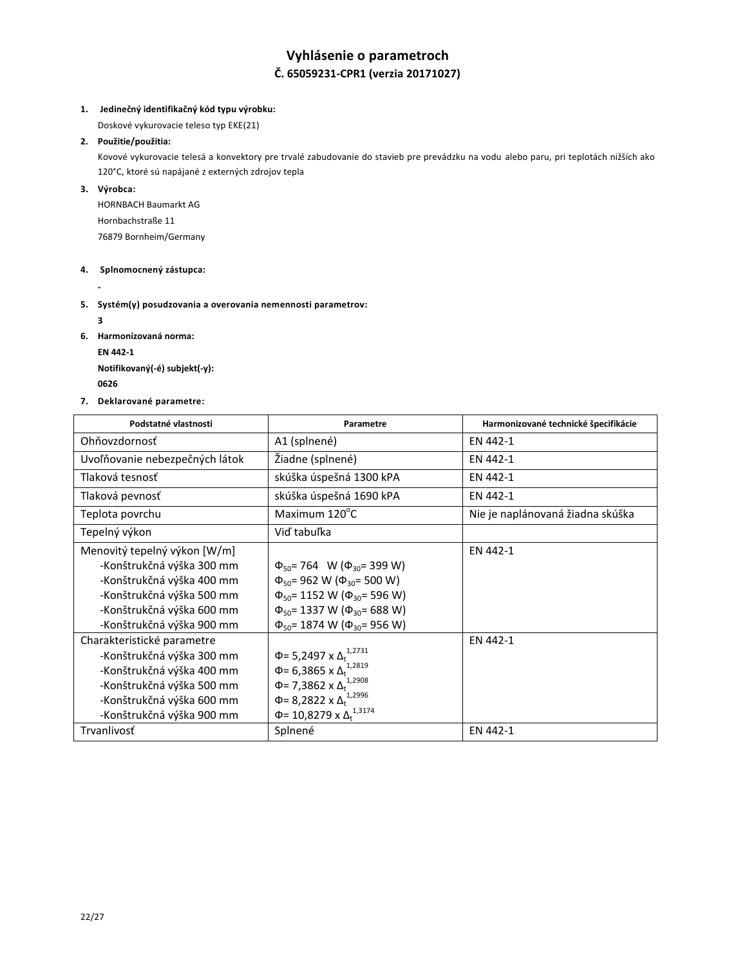## **Vyhlásenie o parametroch Č. 65059231-CPR1 (verzia 20171027)**

## **1. Jedinečný identifikačný kód typu výrobku:**

Doskové vykurovacie teleso typ EKE(21)

## **2. Použitie/použitia:**

Kovové vykurovacie telesá a konvektory pre trvalé zabudovanie do stavieb pre prevádzku na vodu alebo paru, pri teplotách nižších ako 120°C, ktoré sú napájané z externých zdrojov tepla

## **3. Výrobca:**

HORNBACH Baumarkt AG Hornbachstraße 11 76879 Bornheim/Germany

#### **4. Splnomocnený zástupca:**

**-**

## **5. Systém(y) posudzovania a overovania nemennosti parametrov:**

**3**

- **6. Harmonizovaná norma:**
	- **EN 442-1**

**Notifikovaný(-é) subjekt(-y): <sup>0626</sup>** 

**7. Deklarované parametre:**

| Podstatné vlastnosti           | Parametre                                    | Harmonizované technické špecifikácie |
|--------------------------------|----------------------------------------------|--------------------------------------|
| Ohňovzdornosť                  | A1 (splnené)                                 | EN 442-1                             |
| Uvoľňovanie nebezpečných látok | Žiadne (splnené)                             | EN 442-1                             |
| Tlaková tesnosť                | skúška úspešná 1300 kPA                      | EN 442-1                             |
| Tlaková pevnosť                | skúška úspešná 1690 kPA                      | EN 442-1                             |
| Teplota povrchu                | Maximum 120°C                                | Nie je naplánovaná žiadna skúška     |
| Tepelný výkon                  | Viď tabuľka                                  |                                      |
| Menovitý tepelný výkon [W/m]   |                                              | EN 442-1                             |
| -Konštrukčná výška 300 mm      | $\Phi_{50}$ = 764 W ( $\Phi_{30}$ = 399 W)   |                                      |
| -Konštrukčná výška 400 mm      | $\Phi_{50}$ = 962 W ( $\Phi_{30}$ = 500 W)   |                                      |
| -Konštrukčná výška 500 mm      | $\Phi_{50}$ = 1152 W ( $\Phi_{30}$ = 596 W)  |                                      |
| -Konštrukčná výška 600 mm      | $\Phi_{50}$ = 1337 W ( $\Phi_{30}$ = 688 W)  |                                      |
| -Konštrukčná výška 900 mm      | $\Phi_{50}$ = 1874 W ( $\Phi_{30}$ = 956 W)  |                                      |
| Charakteristické parametre     |                                              | EN 442-1                             |
| -Konštrukčná výška 300 mm      | Φ= 5,2497 x Δ <sub>t</sub> <sup>1,2731</sup> |                                      |
| -Konštrukčná výška 400 mm      | Φ= 6,3865 x $Δ_t$ <sup>1,2819</sup>          |                                      |
| -Konštrukčná výška 500 mm      | Φ= 7,3862 x Δ <sup>1,2908</sup>              |                                      |
| -Konštrukčná výška 600 mm      | $\Phi$ = 8,2822 x $\Delta_t^{1,2996}$        |                                      |
| -Konštrukčná výška 900 mm      | Φ= 10,8279 x $Δ_t$ <sup>1,3174</sup>         |                                      |
| Trvanlivosť                    | Splnené                                      | EN 442-1                             |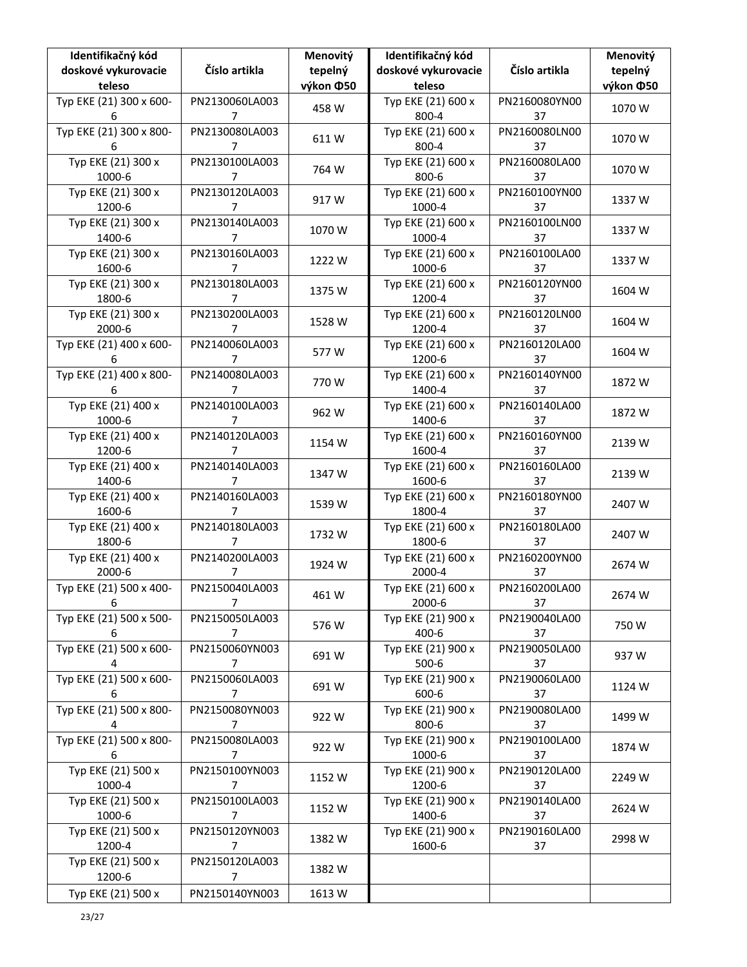| Identifikačný kód<br>doskové vykurovacie | Číslo artikla                    | Menovitý<br>tepelný | Identifikačný kód<br>doskové vykurovacie | Číslo artikla       | Menovitý<br>tepelný |
|------------------------------------------|----------------------------------|---------------------|------------------------------------------|---------------------|---------------------|
| teleso                                   |                                  | výkon ¢50           | teleso                                   |                     | výkon ¢50           |
| Typ EKE (21) 300 x 600-<br>6             | PN2130060LA003<br>$\overline{7}$ | 458 W               | Typ EKE (21) 600 x<br>800-4              | PN2160080YN00<br>37 | 1070W               |
| Typ EKE (21) 300 x 800-<br>6             | PN2130080LA003<br>7              | 611W                | Typ EKE (21) 600 x<br>800-4              | PN2160080LN00<br>37 | 1070W               |
| Typ EKE (21) 300 x<br>1000-6             | PN2130100LA003<br>7              | 764 W               | Typ EKE (21) 600 x<br>800-6              | PN2160080LA00<br>37 | 1070W               |
| Typ EKE (21) 300 x<br>1200-6             | PN2130120LA003<br>7              | 917W                | Typ EKE (21) 600 x<br>1000-4             | PN2160100YN00<br>37 | 1337W               |
| Typ EKE (21) 300 x<br>1400-6             | PN2130140LA003<br>7              | 1070W               | Typ EKE (21) 600 x<br>1000-4             | PN2160100LN00<br>37 | 1337W               |
| Typ EKE (21) 300 x<br>1600-6             | PN2130160LA003<br>7              | 1222W               | Typ EKE (21) 600 x<br>1000-6             | PN2160100LA00<br>37 | 1337W               |
| Typ EKE (21) 300 x<br>1800-6             | PN2130180LA003<br>7              | 1375W               | Typ EKE (21) 600 x<br>1200-4             | PN2160120YN00<br>37 | 1604 W              |
| Typ EKE (21) 300 x<br>2000-6             | PN2130200LA003<br>$\overline{7}$ | 1528 W              | Typ EKE (21) 600 x<br>1200-4             | PN2160120LN00<br>37 | 1604 W              |
| Typ EKE (21) 400 x 600-<br>6             | PN2140060LA003<br>7              | 577W                | Typ EKE (21) 600 x<br>1200-6             | PN2160120LA00<br>37 | 1604 W              |
| Typ EKE (21) 400 x 800-<br>6             | PN2140080LA003<br>7              | 770W                | Typ EKE (21) 600 x<br>1400-4             | PN2160140YN00<br>37 | 1872W               |
| Typ EKE (21) 400 x<br>1000-6             | PN2140100LA003<br>7              | 962W                | Typ EKE (21) 600 x<br>1400-6             | PN2160140LA00<br>37 | 1872W               |
| Typ EKE (21) 400 x<br>1200-6             | PN2140120LA003<br>7              | 1154 W              | Typ EKE (21) 600 x<br>1600-4             | PN2160160YN00<br>37 | 2139W               |
| Typ EKE (21) 400 x<br>1400-6             | PN2140140LA003<br>7              | 1347 W              | Typ EKE (21) 600 x<br>1600-6             | PN2160160LA00<br>37 | 2139 W              |
| Typ EKE (21) 400 x<br>1600-6             | PN2140160LA003<br>$\overline{7}$ | 1539 W              | Typ EKE (21) 600 x<br>1800-4             | PN2160180YN00<br>37 | 2407W               |
| Typ EKE (21) 400 x<br>1800-6             | PN2140180LA003<br>7              | 1732W               | Typ EKE (21) 600 x<br>1800-6             | PN2160180LA00<br>37 | 2407W               |
| Typ EKE (21) 400 x<br>2000-6             | PN2140200LA003<br>7              | 1924 W              | Typ EKE (21) 600 x<br>2000-4             | PN2160200YN00<br>37 | 2674W               |
| Typ EKE (21) 500 x 400-<br>6             | PN2150040LA003<br>$\overline{7}$ | 461W                | Typ EKE (21) 600 x<br>2000-6             | PN2160200LA00<br>37 | 2674W               |
| Typ EKE (21) 500 x 500-<br>6             | PN2150050LA003<br>7              | 576W                | Typ EKE (21) 900 x<br>400-6              | PN2190040LA00<br>37 | 750W                |
| Typ EKE (21) 500 x 600-<br>4             | PN2150060YN003<br>7              | 691W                | Typ EKE (21) 900 x<br>$500-6$            | PN2190050LA00<br>37 | 937W                |
| Typ EKE (21) 500 x 600-<br>6             | PN2150060LA003<br>$\overline{7}$ | 691W                | Typ EKE (21) 900 x<br>600-6              | PN2190060LA00<br>37 | 1124 W              |
| Typ EKE (21) 500 x 800-<br>4             | PN2150080YN003<br>$\overline{7}$ | 922W                | Typ EKE (21) 900 x<br>800-6              | PN2190080LA00<br>37 | 1499 W              |
| Typ EKE (21) 500 x 800-<br>6             | PN2150080LA003<br>7              | 922W                | Typ EKE (21) 900 x<br>1000-6             | PN2190100LA00<br>37 | 1874W               |
| Typ EKE (21) 500 x<br>1000-4             | PN2150100YN003<br>7              | 1152 W              | Typ EKE (21) 900 x<br>1200-6             | PN2190120LA00<br>37 | 2249 W              |
| Typ EKE (21) 500 x<br>1000-6             | PN2150100LA003<br>7              | 1152W               | Typ EKE (21) 900 x<br>1400-6             | PN2190140LA00<br>37 | 2624W               |
| Typ EKE (21) 500 x<br>1200-4             | PN2150120YN003<br>7              | 1382W               | Typ EKE (21) 900 x<br>1600-6             | PN2190160LA00<br>37 | 2998 W              |
| Typ EKE (21) 500 x<br>1200-6             | PN2150120LA003<br>$\overline{7}$ | 1382W               |                                          |                     |                     |
| Typ EKE (21) 500 x                       | PN2150140YN003                   | 1613W               |                                          |                     |                     |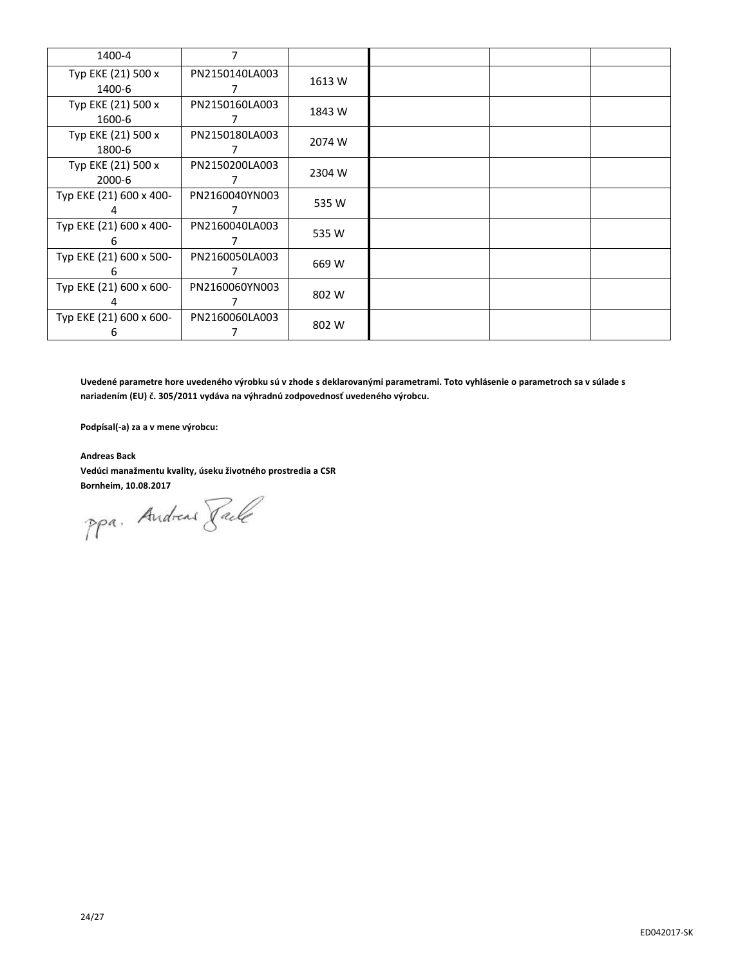| 1400-4                       | 7              |        |  |  |
|------------------------------|----------------|--------|--|--|
| Typ EKE (21) 500 x<br>1400-6 | PN2150140LA003 | 1613 W |  |  |
| Typ EKE (21) 500 x<br>1600-6 | PN2150160LA003 | 1843 W |  |  |
| Typ EKE (21) 500 x<br>1800-6 | PN2150180LA003 | 2074 W |  |  |
| Typ EKE (21) 500 x<br>2000-6 | PN2150200LA003 | 2304 W |  |  |
| Typ EKE (21) 600 x 400-      | PN2160040YN003 | 535 W  |  |  |
| Typ EKE (21) 600 x 400-<br>h | PN2160040LA003 | 535W   |  |  |
| Typ EKE (21) 600 x 500-<br>6 | PN2160050LA003 | 669 W  |  |  |
| Typ EKE (21) 600 x 600-      | PN2160060YN003 | 802 W  |  |  |
| Typ EKE (21) 600 x 600-<br>6 | PN2160060LA003 | 802 W  |  |  |

**Uvedené parametre hore uvedeného výrobku sú v zhode s deklarovanými parametrami. Toto vyhlásenie o parametroch sa v súlade s nariadením (EU) č. 305/2011 vydáva na výhradnú zodpovednosť uvedeného výrobcu.**

**Podpísal(-a) za a v mene výrobcu:**

**Andreas Back Vedúci manažmentu kvality, úseku životného prostredia a CSR**

**Bornheim, 10.08.2017**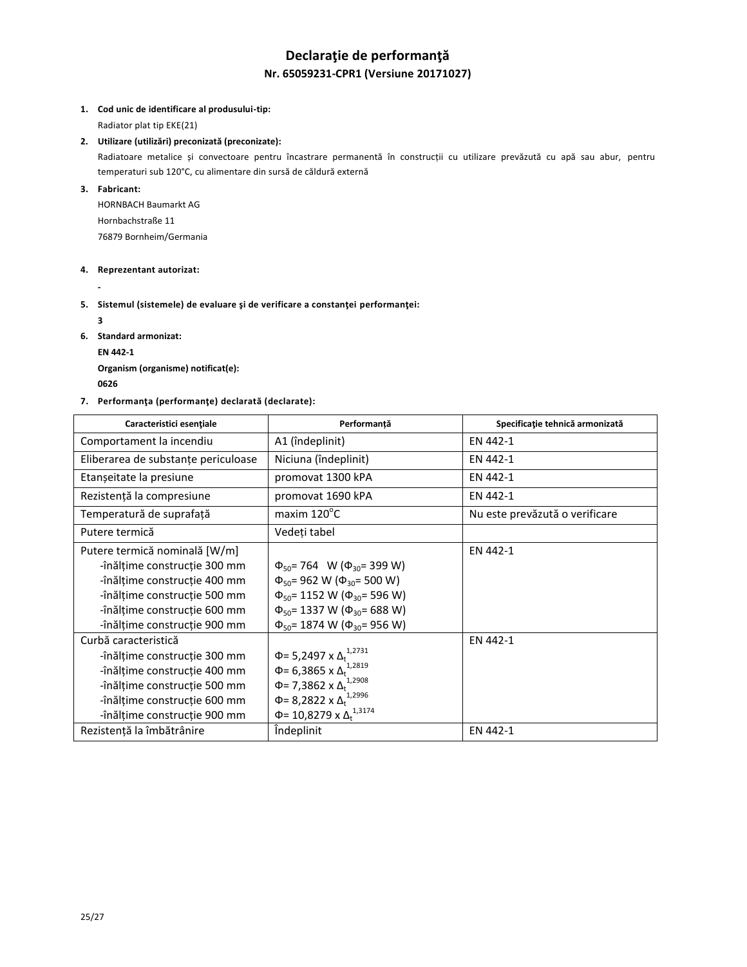# **Declaraţie de performanţă Nr. 65059231-CPR1 (Versiune 20171027)**

## **1. Cod unic de identificare al produsului-tip:**

Radiator plat tip EKE(21)

### **2. Utilizare (utilizări) preconizată (preconizate):**

Radiatoare metalice și convectoare pentru încastrare permanentă în construcții cu utilizare prevăzută cu apă sau abur, pentru temperaturi sub 120°C, cu alimentare din sursă de căldură externă

## **3. Fabricant:**

HORNBACH Baumarkt AG Hornbachstraße 11 76879 Bornheim/Germania

#### **4. Reprezentant autorizat:**

**-**

## **5. Sistemul (sistemele) de evaluare şi de verificare a constanţei performanţei:**

**3**

- **6. Standard armonizat:**
	- **EN 442-1**

**Organism (organisme) notificat(e): <sup>0626</sup>** 

## **7. Performanţa (performanţe) declarată (declarate):**

| Caracteristici esentiale            | Performanță                                   | Specificație tehnică armonizată |
|-------------------------------------|-----------------------------------------------|---------------------------------|
| Comportament la incendiu            | A1 (îndeplinit)                               | EN 442-1                        |
| Eliberarea de substanțe periculoase | Niciuna (îndeplinit)                          | EN 442-1                        |
| Etanșeitate la presiune             | promovat 1300 kPA                             | EN 442-1                        |
| Rezistență la compresiune           | promovat 1690 kPA                             | EN 442-1                        |
| Temperatură de suprafață            | maxim 120°C                                   | Nu este prevăzută o verificare  |
| Putere termică                      | Vedeți tabel                                  |                                 |
| Putere termică nominală [W/m]       |                                               | EN 442-1                        |
| -înălțime construcție 300 mm        | $\Phi_{50}$ = 764 W ( $\Phi_{30}$ = 399 W)    |                                 |
| -înălțime construcție 400 mm        | $\Phi_{50}$ = 962 W ( $\Phi_{30}$ = 500 W)    |                                 |
| -înălțime construcție 500 mm        | $\Phi_{50}$ = 1152 W ( $\Phi_{30}$ = 596 W)   |                                 |
| -înălțime construcție 600 mm        | $\Phi_{50}$ = 1337 W ( $\Phi_{30}$ = 688 W)   |                                 |
| -înălțime construcție 900 mm        | $\Phi_{50}$ = 1874 W ( $\Phi_{30}$ = 956 W)   |                                 |
| Curbă caracteristică                |                                               | EN 442-1                        |
| -înălțime construcție 300 mm        | Φ= 5,2497 x Δ <sub>t</sub> <sup>1,2731</sup>  |                                 |
| -înălțime construcție 400 mm        | Φ= 6,3865 x $Δ_t$ <sup>1,2819</sup>           |                                 |
| -înălțime construcție 500 mm        | Φ= 7,3862 x Δ <sup>1,2908</sup>               |                                 |
| -înălțime construcție 600 mm        | Φ= 8,2822 x $Δ_t$ <sup>1,2996</sup>           |                                 |
| -înălțime construcție 900 mm        | Φ= 10,8279 x Δ <sub>+</sub> <sup>1,3174</sup> |                                 |
| Rezistență la îmbătrânire           | <i>indeplinit</i>                             | EN 442-1                        |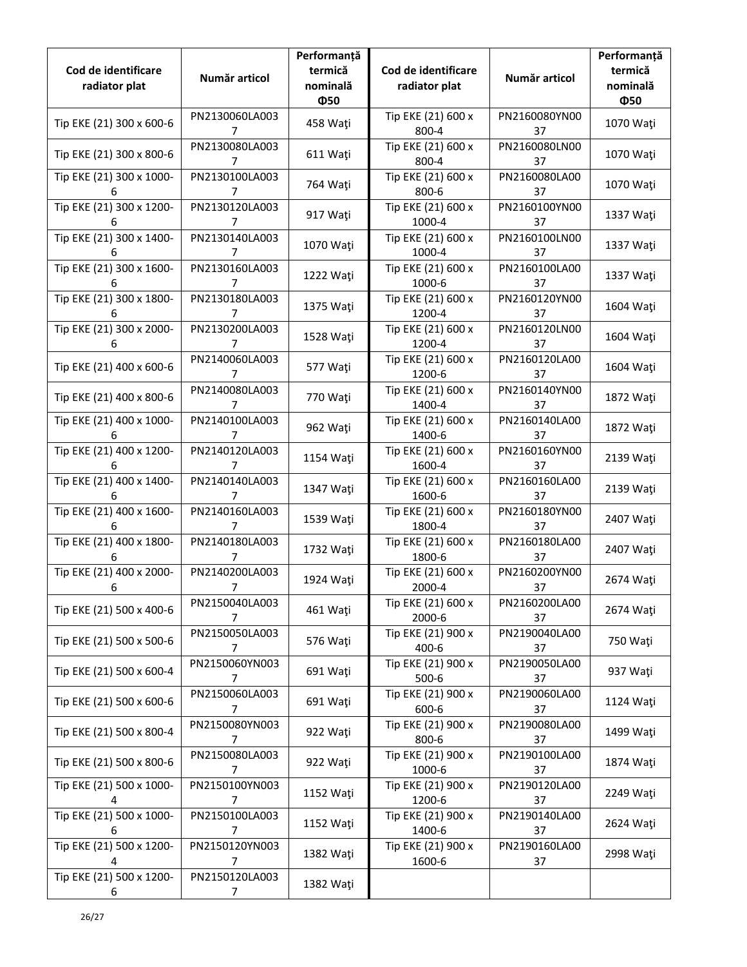| Cod de identificare<br>radiator plat | Număr articol                    | Performanță<br>termică<br>nominală<br>Ф50 | Cod de identificare<br>radiator plat | Număr articol       | Performanță<br>termică<br>nominală<br>Ф50 |
|--------------------------------------|----------------------------------|-------------------------------------------|--------------------------------------|---------------------|-------------------------------------------|
| Tip EKE (21) 300 x 600-6             | PN2130060LA003<br>7              | 458 Waţi                                  | Tip EKE (21) 600 x<br>800-4          | PN2160080YN00<br>37 | 1070 Waţi                                 |
| Tip EKE (21) 300 x 800-6             | PN2130080LA003<br>7              | 611 Waţi                                  | Tip EKE (21) 600 x<br>800-4          | PN2160080LN00<br>37 | 1070 Waţi                                 |
| Tip EKE (21) 300 x 1000-<br>6        | PN2130100LA003<br>7              | 764 Waţi                                  | Tip EKE (21) 600 x<br>800-6          | PN2160080LA00<br>37 | 1070 Waţi                                 |
| Tip EKE (21) 300 x 1200-<br>6        | PN2130120LA003<br>7              | 917 Wati                                  | Tip EKE (21) 600 x<br>1000-4         | PN2160100YN00<br>37 | 1337 Wati                                 |
| Tip EKE (21) 300 x 1400-<br>6        | PN2130140LA003<br>7              | 1070 Waţi                                 | Tip EKE (21) 600 x<br>1000-4         | PN2160100LN00<br>37 | 1337 Wati                                 |
| Tip EKE (21) 300 x 1600-<br>6        | PN2130160LA003<br>7              | 1222 Waţi                                 | Tip EKE (21) 600 x<br>1000-6         | PN2160100LA00<br>37 | 1337 Wati                                 |
| Tip EKE (21) 300 x 1800-<br>6        | PN2130180LA003<br>7              | 1375 Waţi                                 | Tip EKE (21) 600 x<br>1200-4         | PN2160120YN00<br>37 | 1604 Wati                                 |
| Tip EKE (21) 300 x 2000-<br>6        | PN2130200LA003<br>7              | 1528 Wati                                 | Tip EKE (21) 600 x<br>1200-4         | PN2160120LN00<br>37 | 1604 Wati                                 |
| Tip EKE (21) 400 x 600-6             | PN2140060LA003<br>7              | 577 Wati                                  | Tip EKE (21) 600 x<br>1200-6         | PN2160120LA00<br>37 | 1604 Wati                                 |
| Tip EKE (21) 400 x 800-6             | PN2140080LA003<br>7              | 770 Wati                                  | Tip EKE (21) 600 x<br>1400-4         | PN2160140YN00<br>37 | 1872 Wati                                 |
| Tip EKE (21) 400 x 1000-<br>6        | PN2140100LA003<br>7              | 962 Waţi                                  | Tip EKE (21) 600 x<br>1400-6         | PN2160140LA00<br>37 | 1872 Waţi                                 |
| Tip EKE (21) 400 x 1200-<br>6        | PN2140120LA003<br>7              | 1154 Waţi                                 | Tip EKE (21) 600 x<br>1600-4         | PN2160160YN00<br>37 | 2139 Waţi                                 |
| Tip EKE (21) 400 x 1400-<br>6        | PN2140140LA003<br>7              | 1347 Waţi                                 | Tip EKE (21) 600 x<br>1600-6         | PN2160160LA00<br>37 | 2139 Waţi                                 |
| Tip EKE (21) 400 x 1600-<br>6        | PN2140160LA003<br>7              | 1539 Waţi                                 | Tip EKE (21) 600 x<br>1800-4         | PN2160180YN00<br>37 | 2407 Waţi                                 |
| Tip EKE (21) 400 x 1800-<br>6        | PN2140180LA003<br>7              | 1732 Waţi                                 | Tip EKE (21) 600 x<br>1800-6         | PN2160180LA00<br>37 | 2407 Waţi                                 |
| Tip EKE (21) 400 x 2000-<br>6        | PN2140200LA003<br>7              | 1924 Waţi                                 | Tip EKE (21) 600 x<br>2000-4         | PN2160200YN00<br>37 | 2674 Waţi                                 |
| Tip EKE (21) 500 x 400-6             | PN2150040LA003<br>7              | 461 Wati                                  | Tip EKE (21) 600 x<br>2000-6         | PN2160200LA00<br>37 | 2674 Wati                                 |
| Tip EKE (21) 500 x 500-6             | PN2150050LA003<br>7              | 576 Waţi                                  | Tip EKE (21) 900 x<br>400-6          | PN2190040LA00<br>37 | 750 Waţi                                  |
| Tip EKE (21) 500 x 600-4             | PN2150060YN003<br>$\overline{7}$ | 691 Waţi                                  | Tip EKE (21) 900 x<br>$500 - 6$      | PN2190050LA00<br>37 | 937 Waţi                                  |
| Tip EKE (21) 500 x 600-6             | PN2150060LA003<br>$\overline{7}$ | 691 Waţi                                  | Tip EKE (21) 900 x<br>600-6          | PN2190060LA00<br>37 | 1124 Waţi                                 |
| Tip EKE (21) 500 x 800-4             | PN2150080YN003<br>7              | 922 Waţi                                  | Tip EKE (21) 900 x<br>800-6          | PN2190080LA00<br>37 | 1499 Waţi                                 |
| Tip EKE (21) 500 x 800-6             | PN2150080LA003<br>7              | 922 Waţi                                  | Tip EKE (21) 900 x<br>1000-6         | PN2190100LA00<br>37 | 1874 Waţi                                 |
| Tip EKE (21) 500 x 1000-<br>4        | PN2150100YN003<br>7              | 1152 Waţi                                 | Tip EKE (21) 900 x<br>1200-6         | PN2190120LA00<br>37 | 2249 Waţi                                 |
| Tip EKE (21) 500 x 1000-<br>6        | PN2150100LA003<br>7              | 1152 Waţi                                 | Tip EKE (21) 900 x<br>1400-6         | PN2190140LA00<br>37 | 2624 Waţi                                 |
| Tip EKE (21) 500 x 1200-<br>4        | PN2150120YN003<br>7              | 1382 Waţi                                 | Tip EKE (21) 900 x<br>1600-6         | PN2190160LA00<br>37 | 2998 Waţi                                 |
| Tip EKE (21) 500 x 1200-<br>6        | PN2150120LA003<br>7              | 1382 Waţi                                 |                                      |                     |                                           |